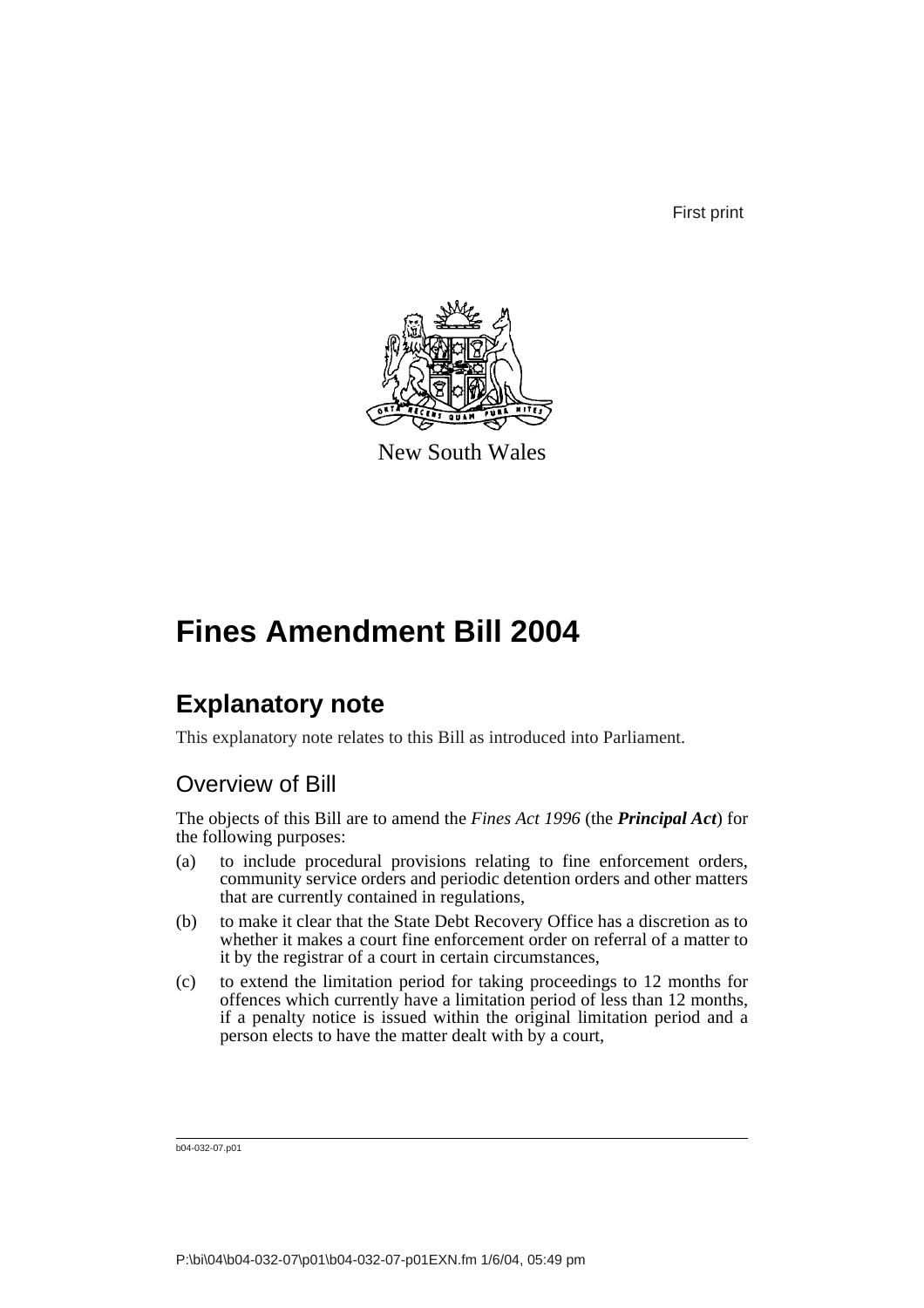First print



New South Wales

# **Fines Amendment Bill 2004**

## **Explanatory note**

This explanatory note relates to this Bill as introduced into Parliament.

## Overview of Bill

The objects of this Bill are to amend the *Fines Act 1996* (the *Principal Act*) for the following purposes:

- (a) to include procedural provisions relating to fine enforcement orders, community service orders and periodic detention orders and other matters that are currently contained in regulations,
- (b) to make it clear that the State Debt Recovery Office has a discretion as to whether it makes a court fine enforcement order on referral of a matter to it by the registrar of a court in certain circumstances,
- (c) to extend the limitation period for taking proceedings to 12 months for offences which currently have a limitation period of less than 12 months, if a penalty notice is issued within the original limitation period and a person elects to have the matter dealt with by a court,

b04-032-07.p01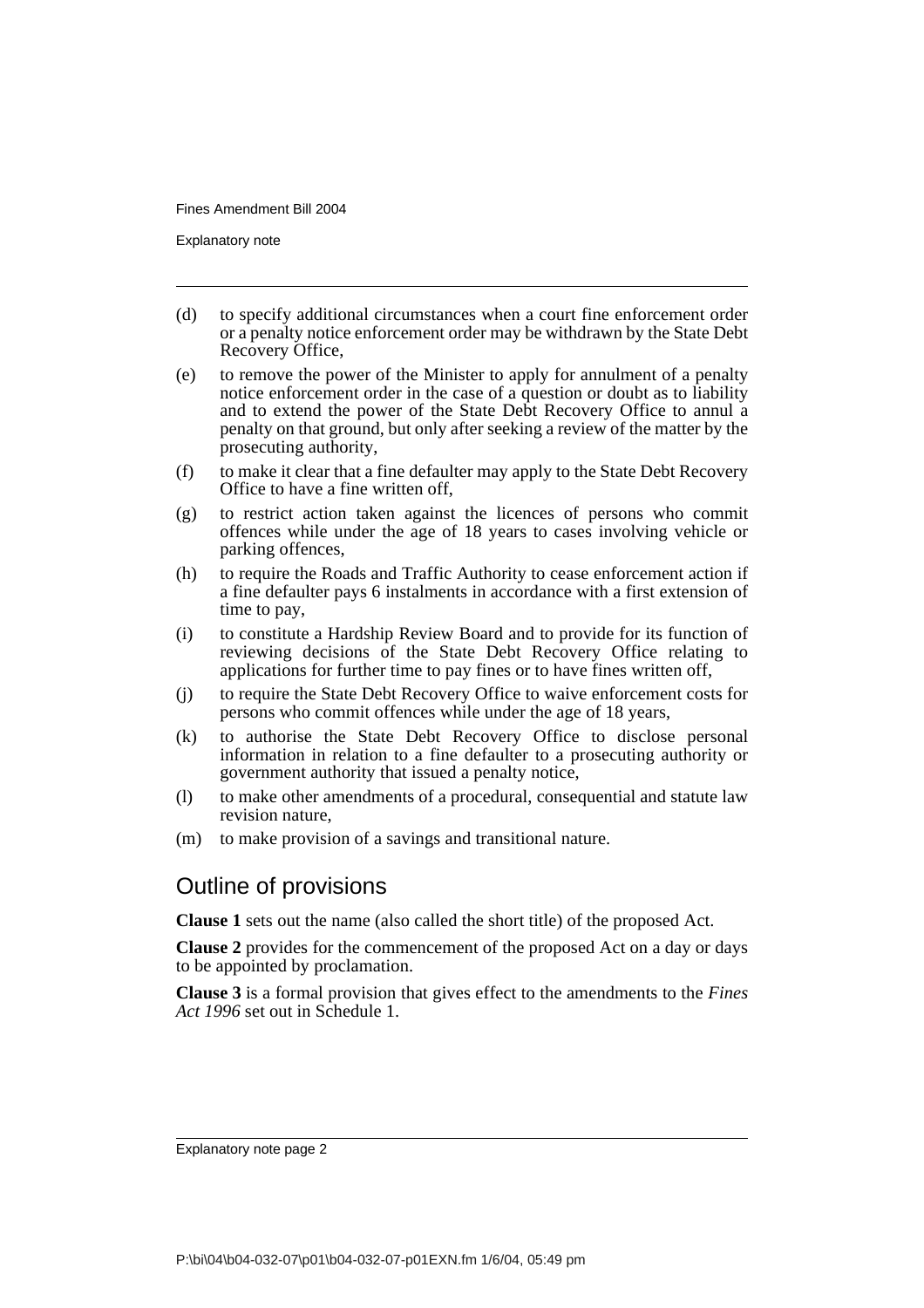Explanatory note

- (d) to specify additional circumstances when a court fine enforcement order or a penalty notice enforcement order may be withdrawn by the State Debt Recovery Office,
- (e) to remove the power of the Minister to apply for annulment of a penalty notice enforcement order in the case of a question or doubt as to liability and to extend the power of the State Debt Recovery Office to annul a penalty on that ground, but only after seeking a review of the matter by the prosecuting authority,
- (f) to make it clear that a fine defaulter may apply to the State Debt Recovery Office to have a fine written off,
- (g) to restrict action taken against the licences of persons who commit offences while under the age of 18 years to cases involving vehicle or parking offences,
- (h) to require the Roads and Traffic Authority to cease enforcement action if a fine defaulter pays 6 instalments in accordance with a first extension of time to pay,
- (i) to constitute a Hardship Review Board and to provide for its function of reviewing decisions of the State Debt Recovery Office relating to applications for further time to pay fines or to have fines written off,
- (j) to require the State Debt Recovery Office to waive enforcement costs for persons who commit offences while under the age of 18 years,
- (k) to authorise the State Debt Recovery Office to disclose personal information in relation to a fine defaulter to a prosecuting authority or government authority that issued a penalty notice,
- (l) to make other amendments of a procedural, consequential and statute law revision nature,
- (m) to make provision of a savings and transitional nature.

### Outline of provisions

**Clause 1** sets out the name (also called the short title) of the proposed Act.

**Clause 2** provides for the commencement of the proposed Act on a day or days to be appointed by proclamation.

**Clause 3** is a formal provision that gives effect to the amendments to the *Fines Act 1996* set out in Schedule 1.

Explanatory note page 2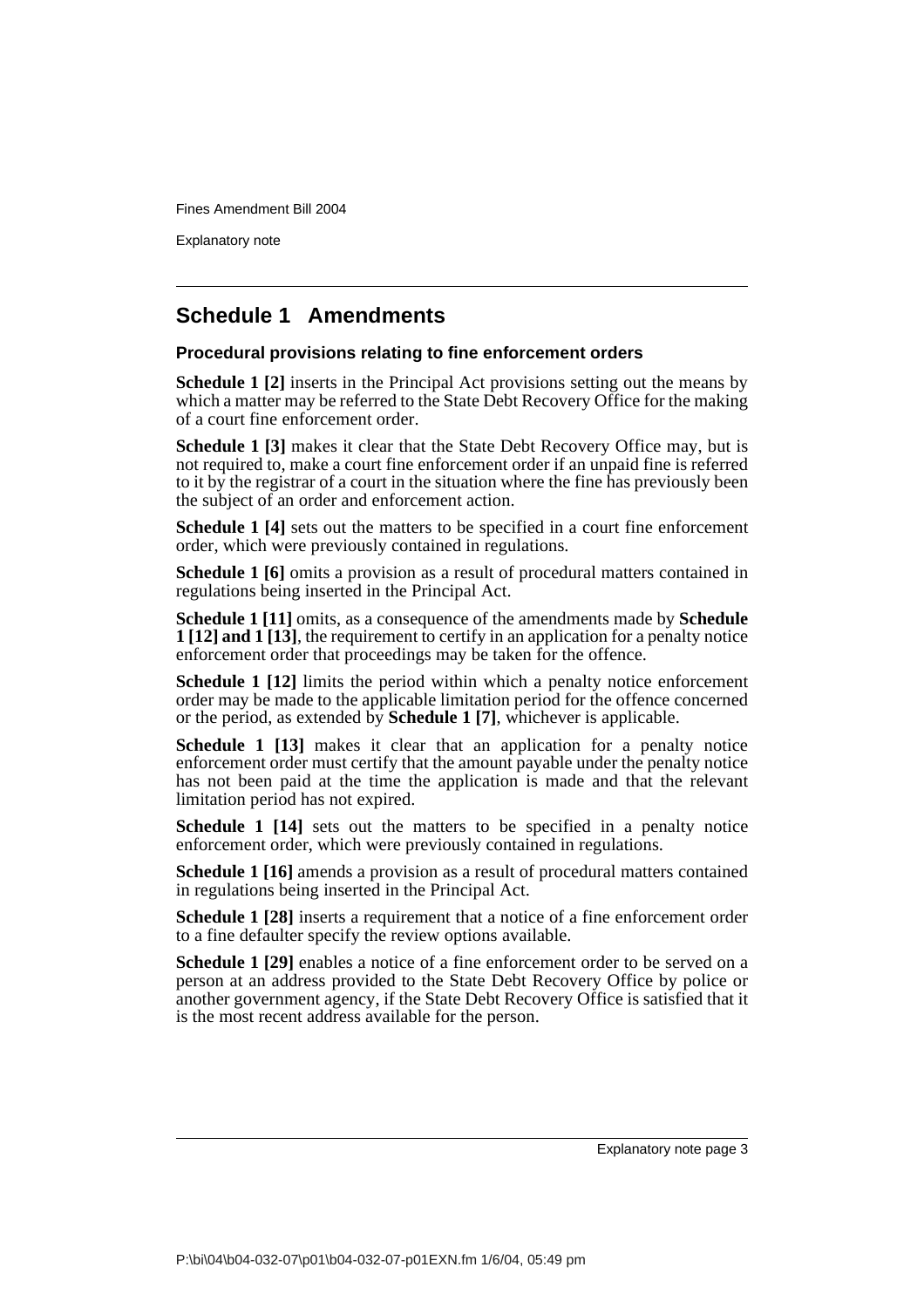Explanatory note

### **Schedule 1 Amendments**

#### **Procedural provisions relating to fine enforcement orders**

**Schedule 1 [2]** inserts in the Principal Act provisions setting out the means by which a matter may be referred to the State Debt Recovery Office for the making of a court fine enforcement order.

**Schedule 1 [3]** makes it clear that the State Debt Recovery Office may, but is not required to, make a court fine enforcement order if an unpaid fine is referred to it by the registrar of a court in the situation where the fine has previously been the subject of an order and enforcement action.

**Schedule 1** [4] sets out the matters to be specified in a court fine enforcement order, which were previously contained in regulations.

**Schedule 1 [6]** omits a provision as a result of procedural matters contained in regulations being inserted in the Principal Act.

**Schedule 1 [11]** omits, as a consequence of the amendments made by **Schedule 1 [12] and 1 [13]**, the requirement to certify in an application for a penalty notice enforcement order that proceedings may be taken for the offence.

**Schedule 1 [12]** limits the period within which a penalty notice enforcement order may be made to the applicable limitation period for the offence concerned or the period, as extended by **Schedule 1 [7]**, whichever is applicable.

**Schedule 1 [13]** makes it clear that an application for a penalty notice enforcement order must certify that the amount payable under the penalty notice has not been paid at the time the application is made and that the relevant limitation period has not expired.

**Schedule 1 [14]** sets out the matters to be specified in a penalty notice enforcement order, which were previously contained in regulations.

**Schedule 1 [16]** amends a provision as a result of procedural matters contained in regulations being inserted in the Principal Act.

**Schedule 1 [28]** inserts a requirement that a notice of a fine enforcement order to a fine defaulter specify the review options available.

**Schedule 1 [29]** enables a notice of a fine enforcement order to be served on a person at an address provided to the State Debt Recovery Office by police or another government agency, if the State Debt Recovery Office is satisfied that it is the most recent address available for the person.

Explanatory note page 3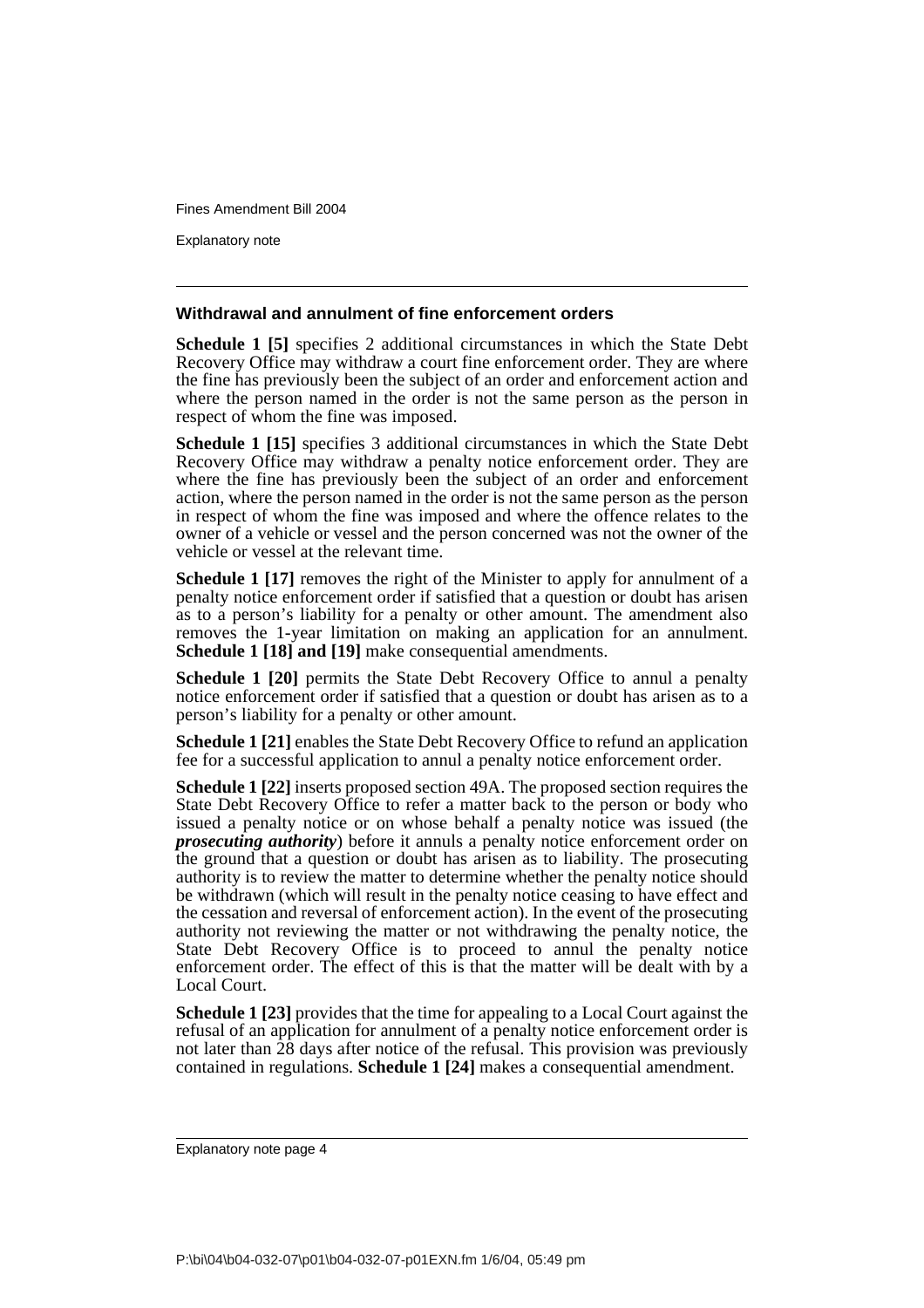Explanatory note

### **Withdrawal and annulment of fine enforcement orders**

**Schedule 1 [5]** specifies 2 additional circumstances in which the State Debt Recovery Office may withdraw a court fine enforcement order. They are where the fine has previously been the subject of an order and enforcement action and where the person named in the order is not the same person as the person in respect of whom the fine was imposed.

**Schedule 1 [15]** specifies 3 additional circumstances in which the State Debt Recovery Office may withdraw a penalty notice enforcement order. They are where the fine has previously been the subject of an order and enforcement action, where the person named in the order is not the same person as the person in respect of whom the fine was imposed and where the offence relates to the owner of a vehicle or vessel and the person concerned was not the owner of the vehicle or vessel at the relevant time.

**Schedule 1 [17]** removes the right of the Minister to apply for annulment of a penalty notice enforcement order if satisfied that a question or doubt has arisen as to a person's liability for a penalty or other amount. The amendment also removes the 1-year limitation on making an application for an annulment. **Schedule 1 [18] and [19]** make consequential amendments.

**Schedule 1 [20]** permits the State Debt Recovery Office to annul a penalty notice enforcement order if satisfied that a question or doubt has arisen as to a person's liability for a penalty or other amount.

**Schedule 1 [21]** enables the State Debt Recovery Office to refund an application fee for a successful application to annul a penalty notice enforcement order.

**Schedule 1 [22]** inserts proposed section 49A. The proposed section requires the State Debt Recovery Office to refer a matter back to the person or body who issued a penalty notice or on whose behalf a penalty notice was issued (the *prosecuting authority*) before it annuls a penalty notice enforcement order on the ground that a question or doubt has arisen as to liability. The prosecuting authority is to review the matter to determine whether the penalty notice should be withdrawn (which will result in the penalty notice ceasing to have effect and the cessation and reversal of enforcement action). In the event of the prosecuting authority not reviewing the matter or not withdrawing the penalty notice, the State Debt Recovery Office is to proceed to annul the penalty notice enforcement order. The effect of this is that the matter will be dealt with by a Local Court.

**Schedule 1 [23]** provides that the time for appealing to a Local Court against the refusal of an application for annulment of a penalty notice enforcement order is not later than  $\hat{28}$  days after notice of the refusal. This provision was previously contained in regulations. **Schedule 1 [24]** makes a consequential amendment.

Explanatory note page 4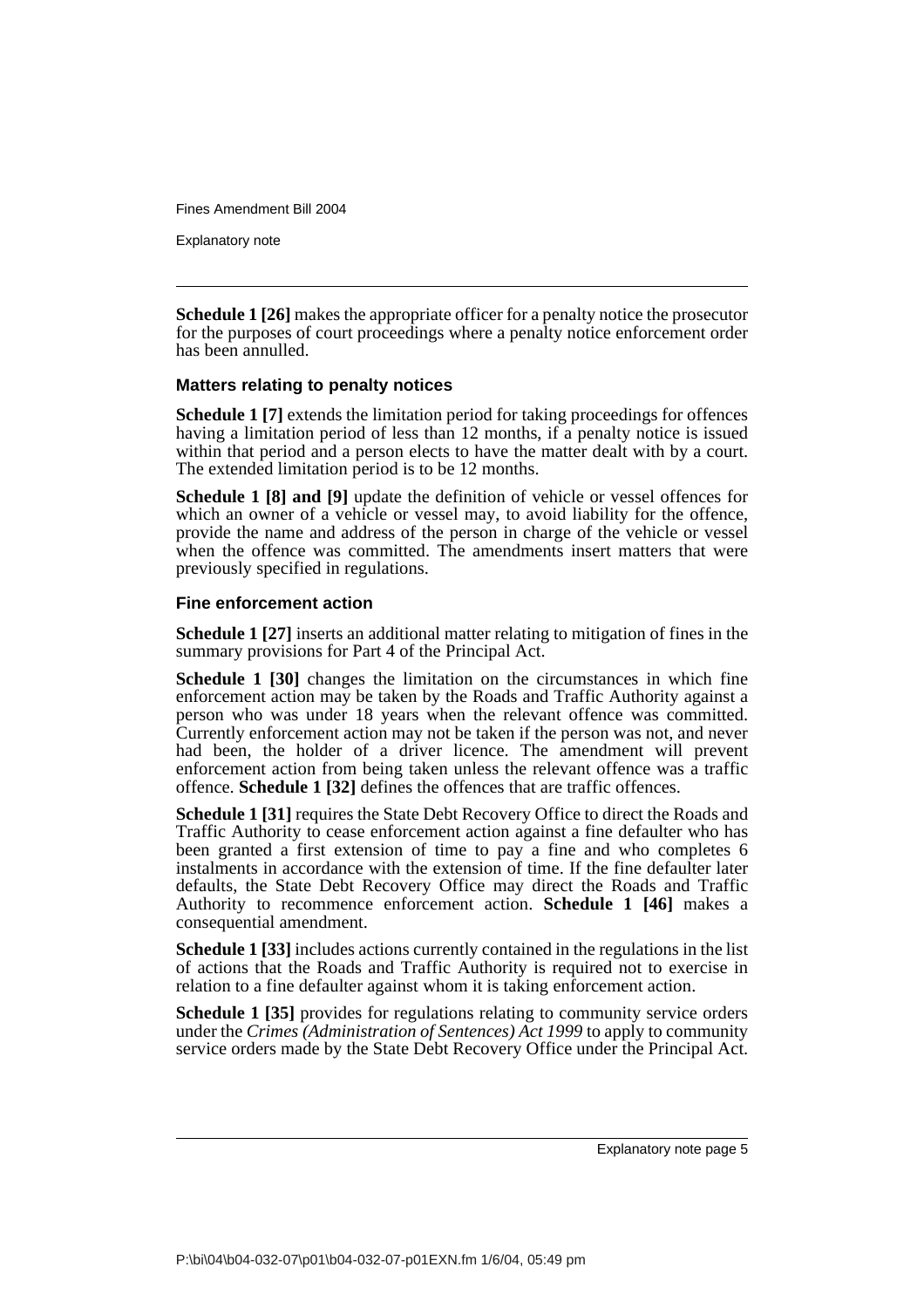Explanatory note

**Schedule 1 [26]** makes the appropriate officer for a penalty notice the prosecutor for the purposes of court proceedings where a penalty notice enforcement order has been annulled.

#### **Matters relating to penalty notices**

**Schedule 1 [7]** extends the limitation period for taking proceedings for offences having a limitation period of less than 12 months, if a penalty notice is issued within that period and a person elects to have the matter dealt with by a court. The extended limitation period is to be 12 months.

**Schedule 1 [8] and [9]** update the definition of vehicle or vessel offences for which an owner of a vehicle or vessel may, to avoid liability for the offence, provide the name and address of the person in charge of the vehicle or vessel when the offence was committed. The amendments insert matters that were previously specified in regulations.

### **Fine enforcement action**

**Schedule 1 [27]** inserts an additional matter relating to mitigation of fines in the summary provisions for Part 4 of the Principal Act.

**Schedule 1 [30]** changes the limitation on the circumstances in which fine enforcement action may be taken by the Roads and Traffic Authority against a person who was under 18 years when the relevant offence was committed. Currently enforcement action may not be taken if the person was not, and never had been, the holder of a driver licence. The amendment will prevent enforcement action from being taken unless the relevant offence was a traffic offence. **Schedule 1 [32]** defines the offences that are traffic offences.

**Schedule 1 [31]** requires the State Debt Recovery Office to direct the Roads and Traffic Authority to cease enforcement action against a fine defaulter who has been granted a first extension of time to pay a fine and who completes 6 instalments in accordance with the extension of time. If the fine defaulter later defaults, the State Debt Recovery Office may direct the Roads and Traffic Authority to recommence enforcement action. **Schedule 1 [46]** makes a consequential amendment.

**Schedule 1 [33]** includes actions currently contained in the regulations in the list of actions that the Roads and Traffic Authority is required not to exercise in relation to a fine defaulter against whom it is taking enforcement action.

**Schedule 1 [35]** provides for regulations relating to community service orders under the *Crimes (Administration of Sentences) Act 1999* to apply to community service orders made by the State Debt Recovery Office under the Principal Act.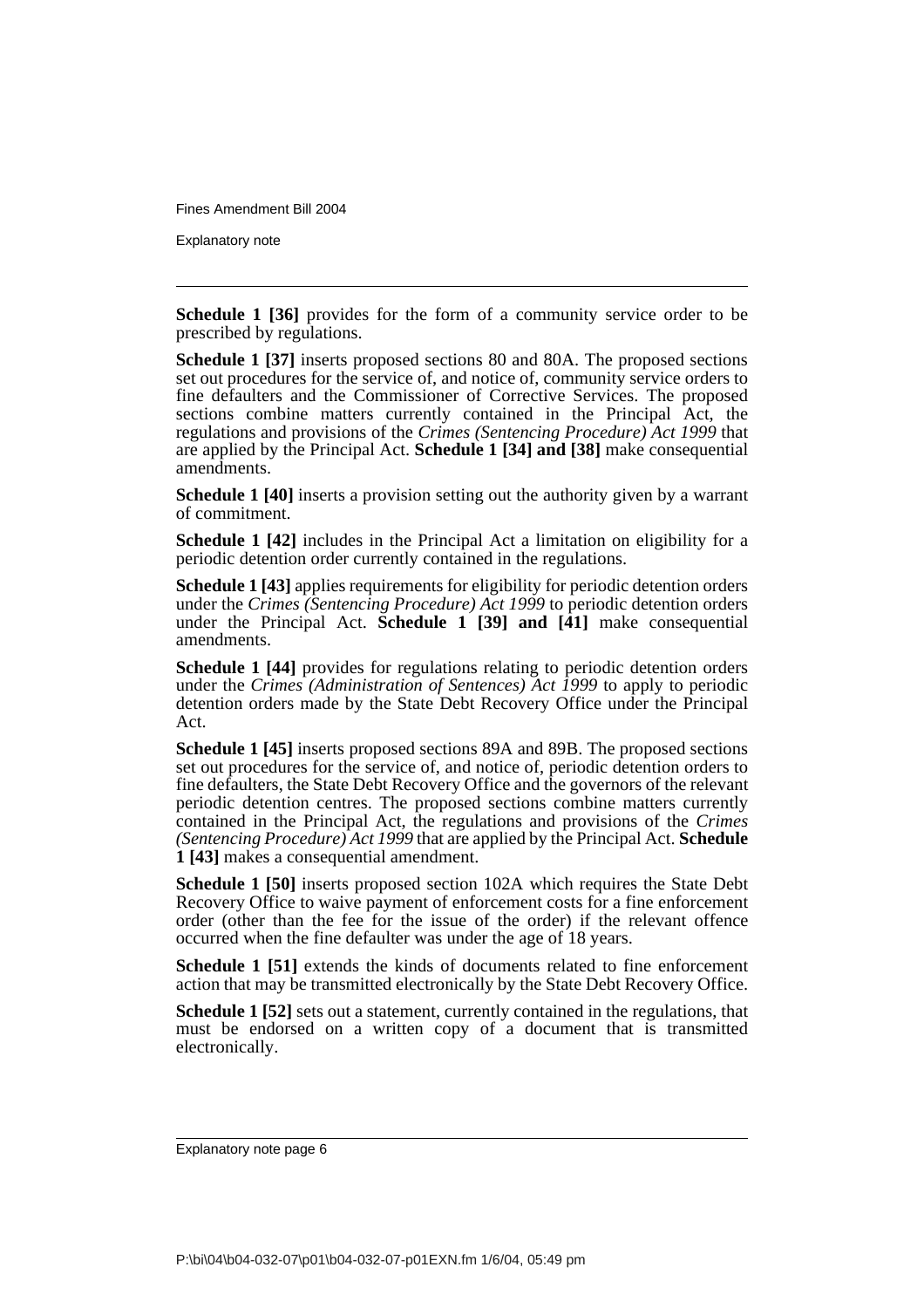Explanatory note

**Schedule 1 [36]** provides for the form of a community service order to be prescribed by regulations.

**Schedule 1 [37]** inserts proposed sections 80 and 80A. The proposed sections set out procedures for the service of, and notice of, community service orders to fine defaulters and the Commissioner of Corrective Services. The proposed sections combine matters currently contained in the Principal Act, the regulations and provisions of the *Crimes (Sentencing Procedure) Act 1999* that are applied by the Principal Act. **Schedule 1 [34] and [38]** make consequential amendments.

**Schedule 1 [40]** inserts a provision setting out the authority given by a warrant of commitment.

**Schedule 1 [42]** includes in the Principal Act a limitation on eligibility for a periodic detention order currently contained in the regulations.

**Schedule 1 [43]** applies requirements for eligibility for periodic detention orders under the *Crimes (Sentencing Procedure) Act 1999* to periodic detention orders under the Principal Act. **Schedule 1 [39] and [41]** make consequential amendments.

**Schedule 1 [44]** provides for regulations relating to periodic detention orders under the *Crimes (Administration of Sentences) Act 1999* to apply to periodic detention orders made by the State Debt Recovery Office under the Principal Act.

**Schedule 1 [45]** inserts proposed sections 89A and 89B. The proposed sections set out procedures for the service of, and notice of, periodic detention orders to fine defaulters, the State Debt Recovery Office and the governors of the relevant periodic detention centres. The proposed sections combine matters currently contained in the Principal Act, the regulations and provisions of the *Crimes (Sentencing Procedure) Act 1999* that are applied by the Principal Act. **Schedule 1 [43]** makes a consequential amendment.

**Schedule 1 [50]** inserts proposed section 102A which requires the State Debt Recovery Office to waive payment of enforcement costs for a fine enforcement order (other than the fee for the issue of the order) if the relevant offence occurred when the fine defaulter was under the age of 18 years.

**Schedule 1 [51]** extends the kinds of documents related to fine enforcement action that may be transmitted electronically by the State Debt Recovery Office.

**Schedule 1 [52]** sets out a statement, currently contained in the regulations, that must be endorsed on a written copy of a document that is transmitted electronically.

Explanatory note page 6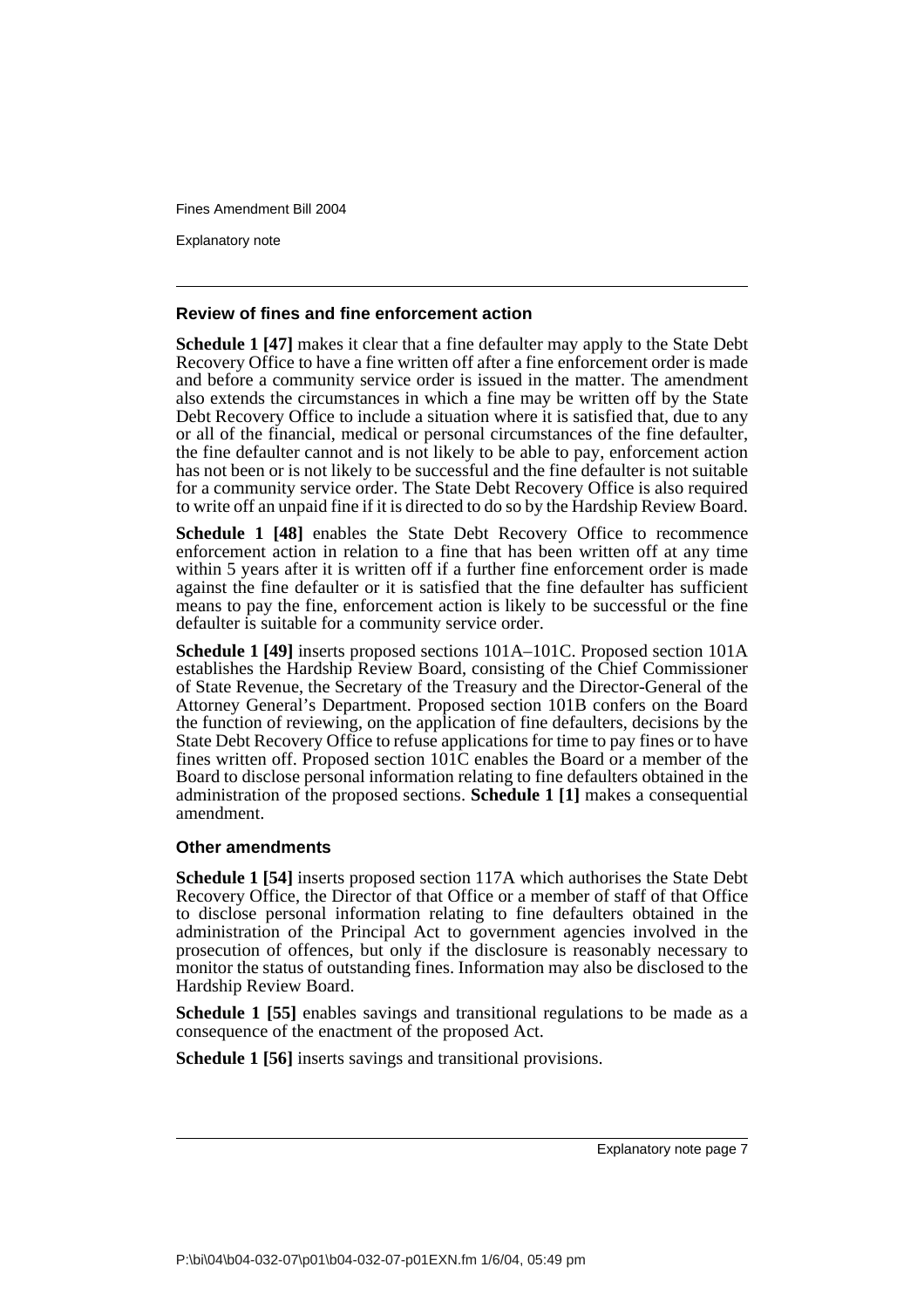Explanatory note

### **Review of fines and fine enforcement action**

**Schedule 1 [47]** makes it clear that a fine defaulter may apply to the State Debt Recovery Office to have a fine written off after a fine enforcement order is made and before a community service order is issued in the matter. The amendment also extends the circumstances in which a fine may be written off by the State Debt Recovery Office to include a situation where it is satisfied that, due to any or all of the financial, medical or personal circumstances of the fine defaulter, the fine defaulter cannot and is not likely to be able to pay, enforcement action has not been or is not likely to be successful and the fine defaulter is not suitable for a community service order. The State Debt Recovery Office is also required to write off an unpaid fine if it is directed to do so by the Hardship Review Board.

**Schedule 1 [48]** enables the State Debt Recovery Office to recommence enforcement action in relation to a fine that has been written off at any time within 5 years after it is written off if a further fine enforcement order is made against the fine defaulter or it is satisfied that the fine defaulter has sufficient means to pay the fine, enforcement action is likely to be successful or the fine defaulter is suitable for a community service order.

**Schedule 1 [49]** inserts proposed sections 101A–101C. Proposed section 101A establishes the Hardship Review Board, consisting of the Chief Commissioner of State Revenue, the Secretary of the Treasury and the Director-General of the Attorney General's Department. Proposed section 101B confers on the Board the function of reviewing, on the application of fine defaulters, decisions by the State Debt Recovery Office to refuse applications for time to pay fines or to have fines written off. Proposed section 101C enables the Board or a member of the Board to disclose personal information relating to fine defaulters obtained in the administration of the proposed sections. **Schedule 1 [1]** makes a consequential amendment.

### **Other amendments**

**Schedule 1 [54]** inserts proposed section 117A which authorises the State Debt Recovery Office, the Director of that Office or a member of staff of that Office to disclose personal information relating to fine defaulters obtained in the administration of the Principal Act to government agencies involved in the prosecution of offences, but only if the disclosure is reasonably necessary to monitor the status of outstanding fines. Information may also be disclosed to the Hardship Review Board.

**Schedule 1 [55]** enables savings and transitional regulations to be made as a consequence of the enactment of the proposed Act.

**Schedule 1 [56]** inserts savings and transitional provisions.

Explanatory note page 7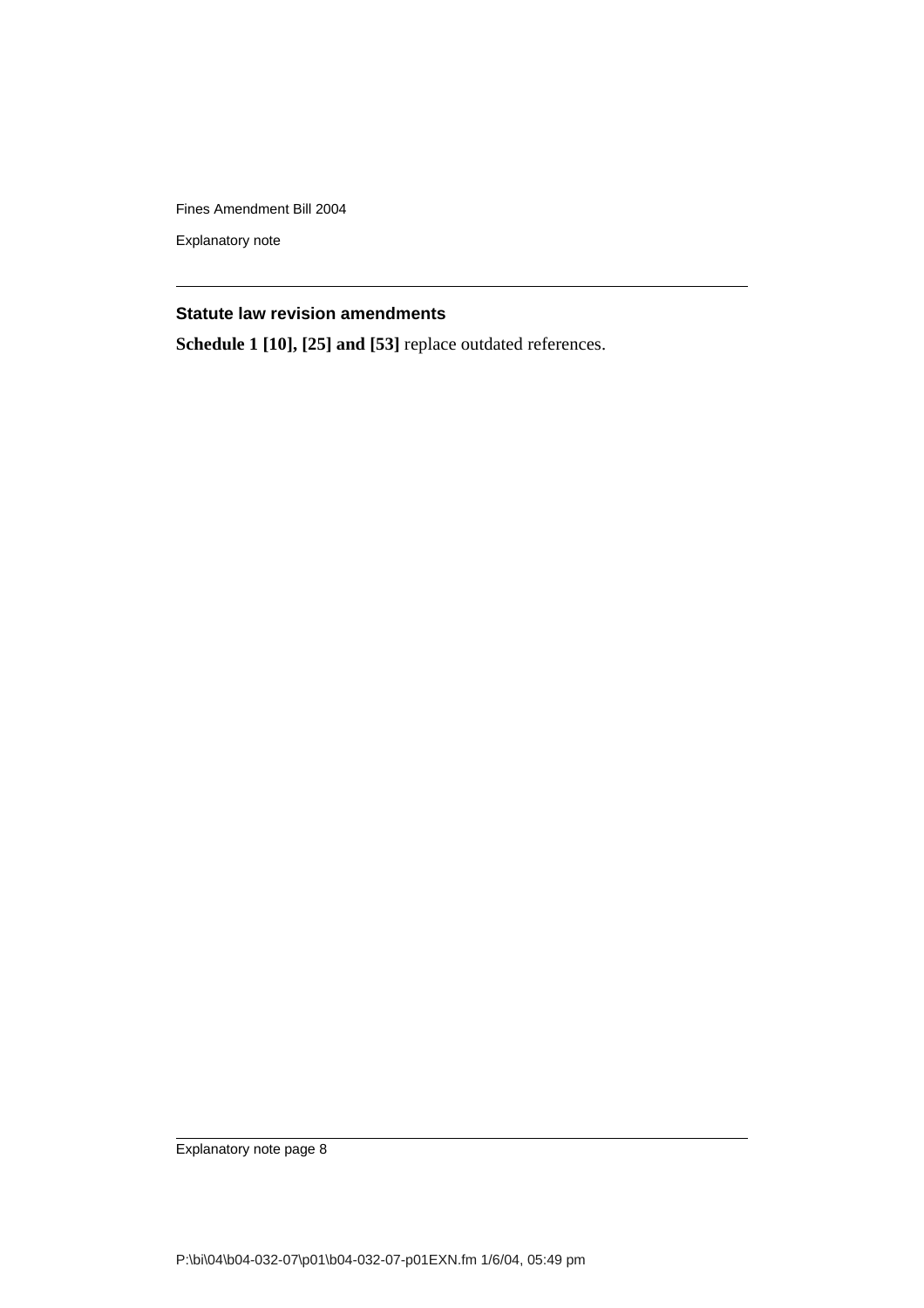Explanatory note

### **Statute law revision amendments**

**Schedule 1 [10], [25] and [53]** replace outdated references.

Explanatory note page 8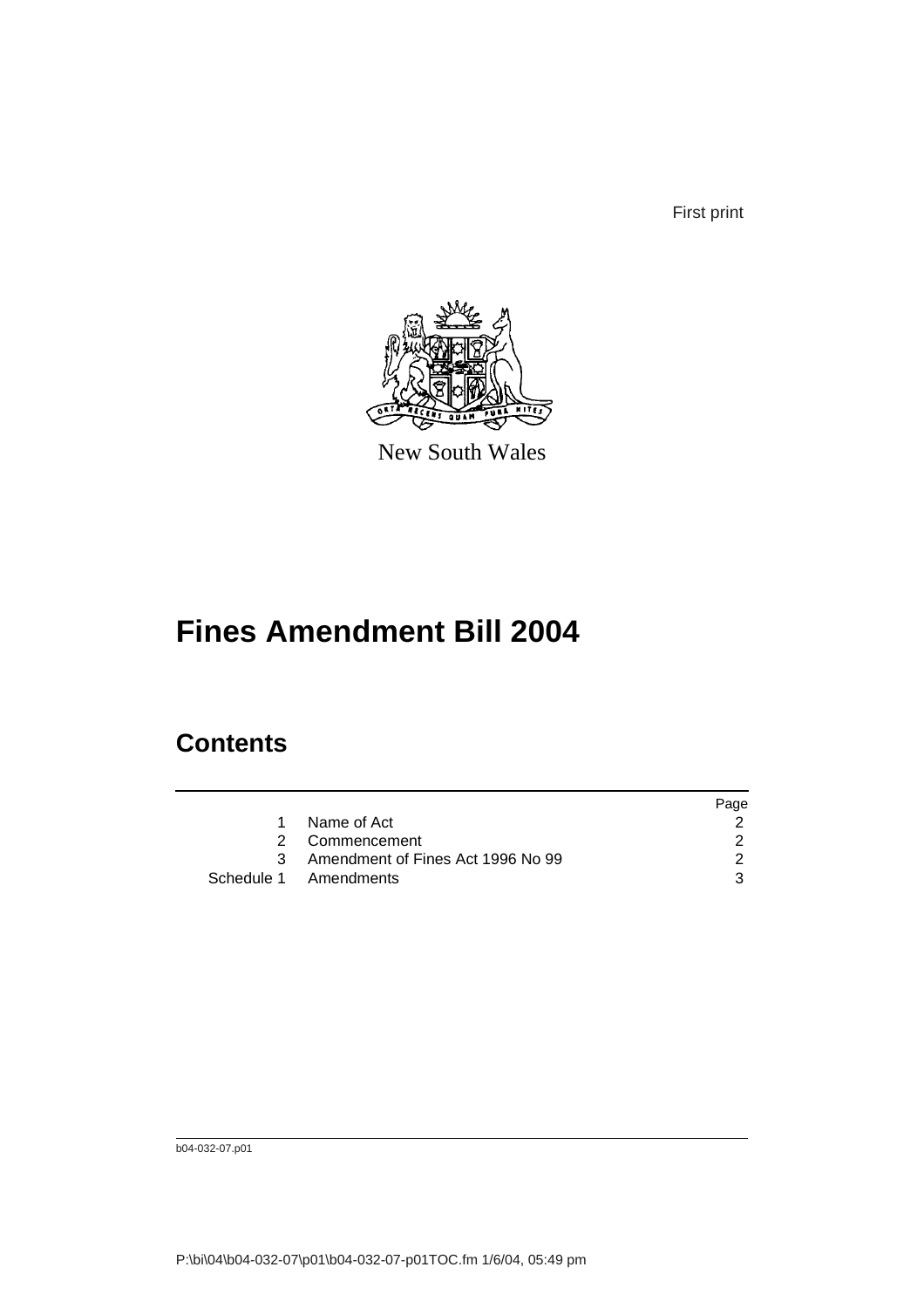First print



New South Wales

# **Fines Amendment Bill 2004**

# **Contents**

|                                     | Page |
|-------------------------------------|------|
| 1 Name of Act                       |      |
| 2 Commencement                      |      |
| 3 Amendment of Fines Act 1996 No 99 |      |
| Schedule 1 Amendments               |      |

b04-032-07.p01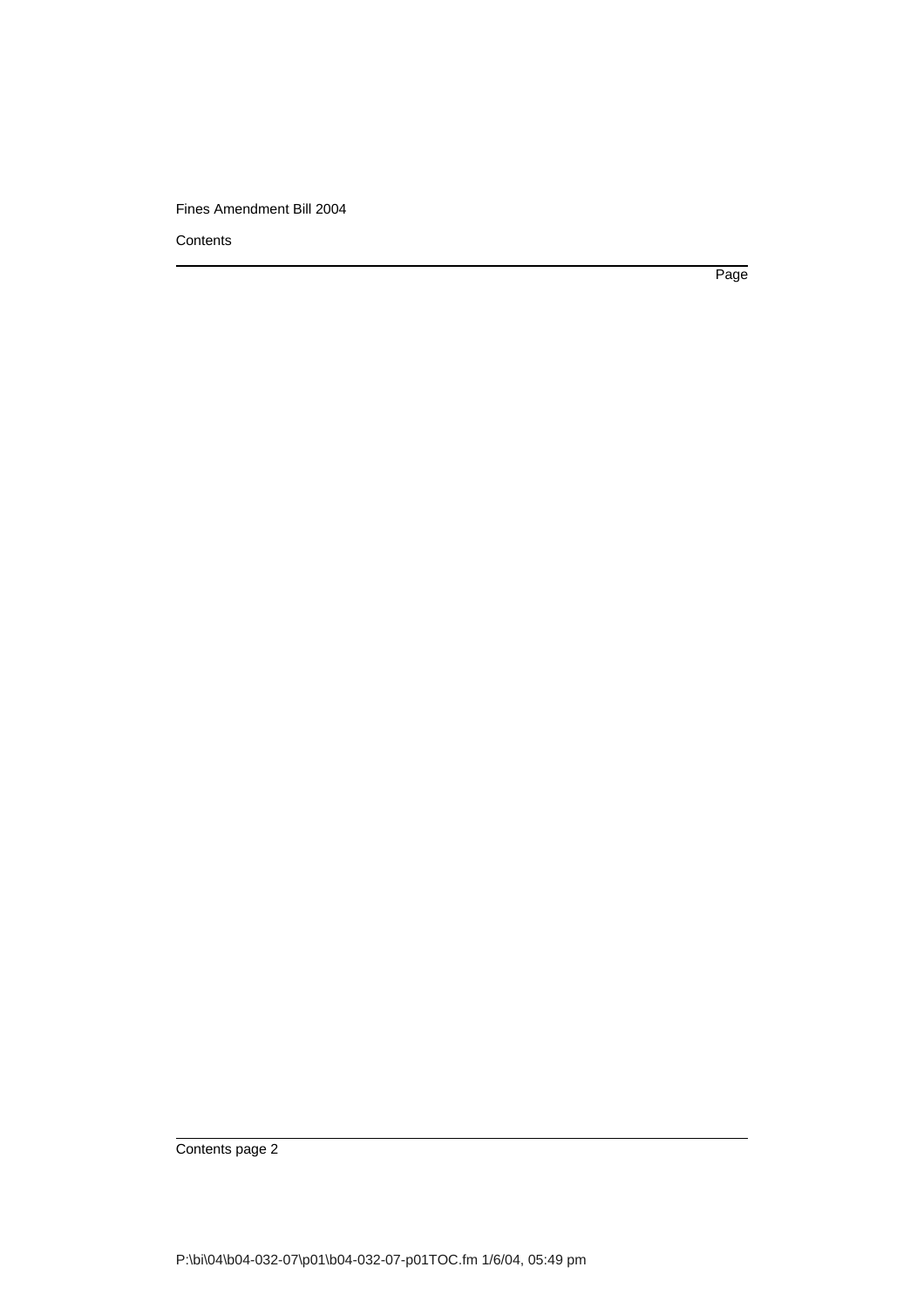**Contents** 

Page

Contents page 2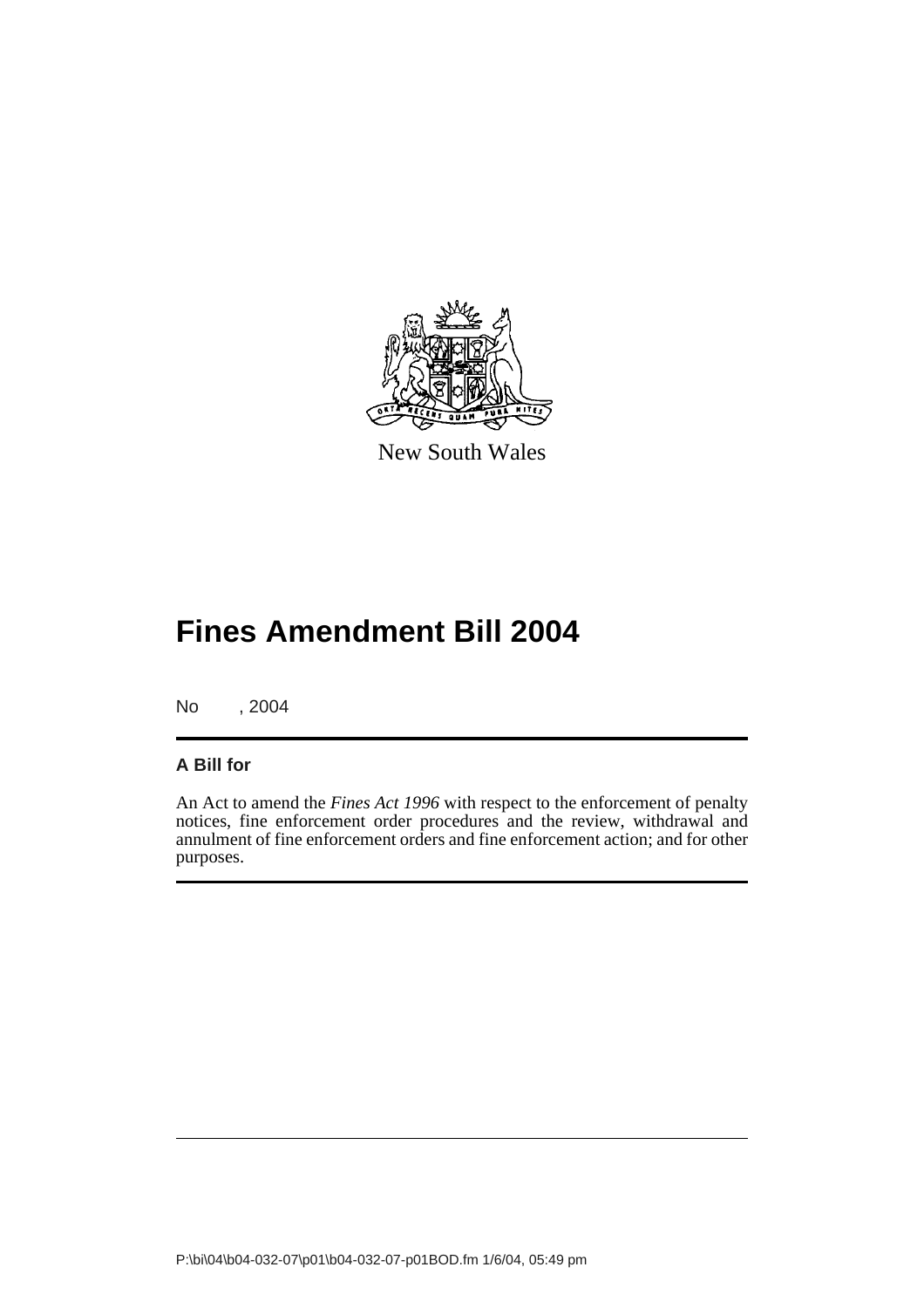

New South Wales

# **Fines Amendment Bill 2004**

No , 2004

### **A Bill for**

An Act to amend the *Fines Act 1996* with respect to the enforcement of penalty notices, fine enforcement order procedures and the review, withdrawal and annulment of fine enforcement orders and fine enforcement action; and for other purposes.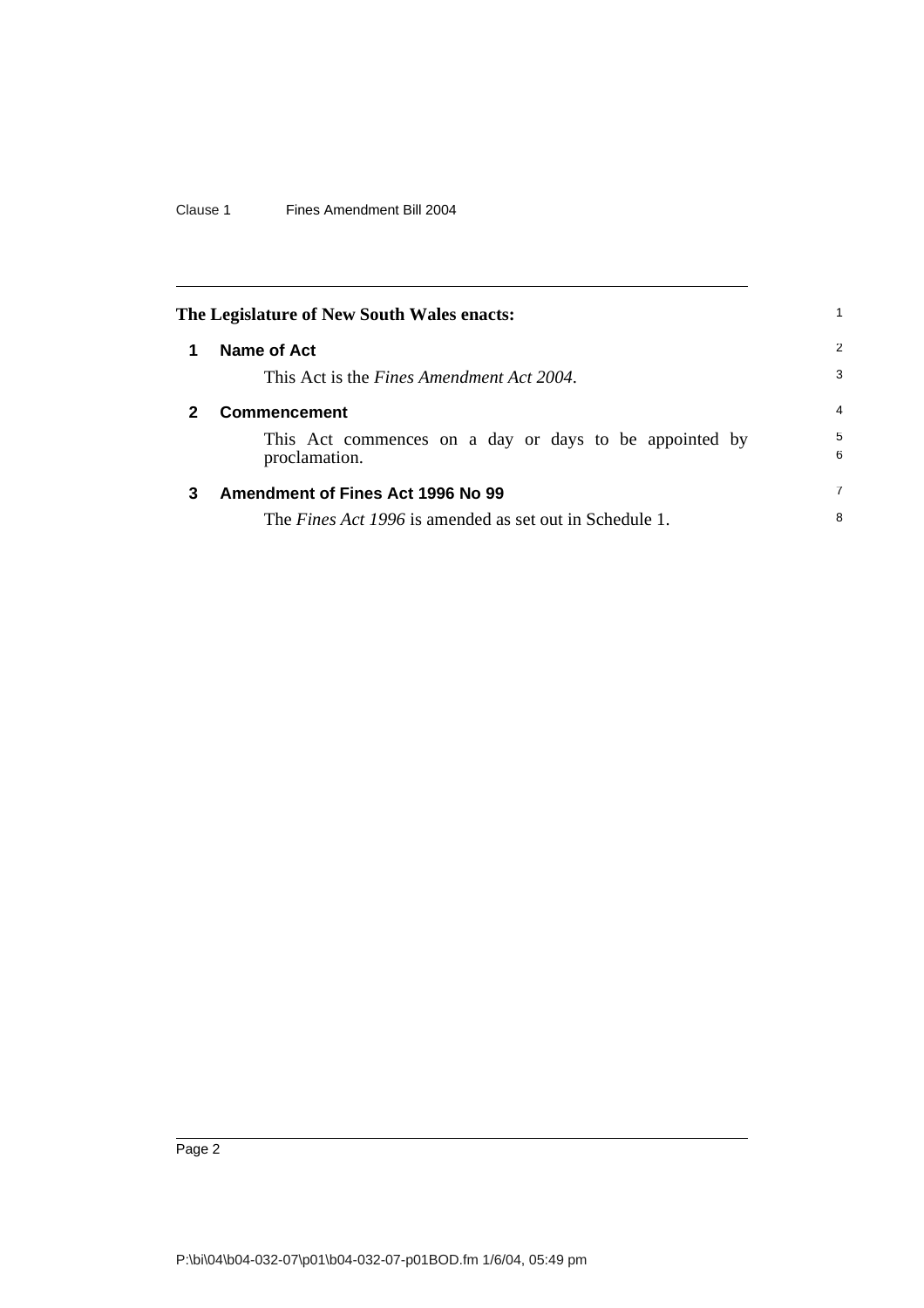Clause 1 Fines Amendment Bill 2004

<span id="page-11-2"></span><span id="page-11-1"></span><span id="page-11-0"></span>

|   | The Legislature of New South Wales enacts:                              |                |
|---|-------------------------------------------------------------------------|----------------|
|   | <b>Name of Act</b>                                                      | $\mathcal{P}$  |
|   | This Act is the <i>Fines Amendment Act 2004</i> .                       | 3              |
|   | <b>Commencement</b>                                                     | $\overline{4}$ |
|   | This Act commences on a day or days to be appointed by<br>proclamation. | 5<br>6         |
| 3 | Amendment of Fines Act 1996 No 99                                       | $\overline{7}$ |
|   | The <i>Fines Act 1996</i> is amended as set out in Schedule 1.          | 8              |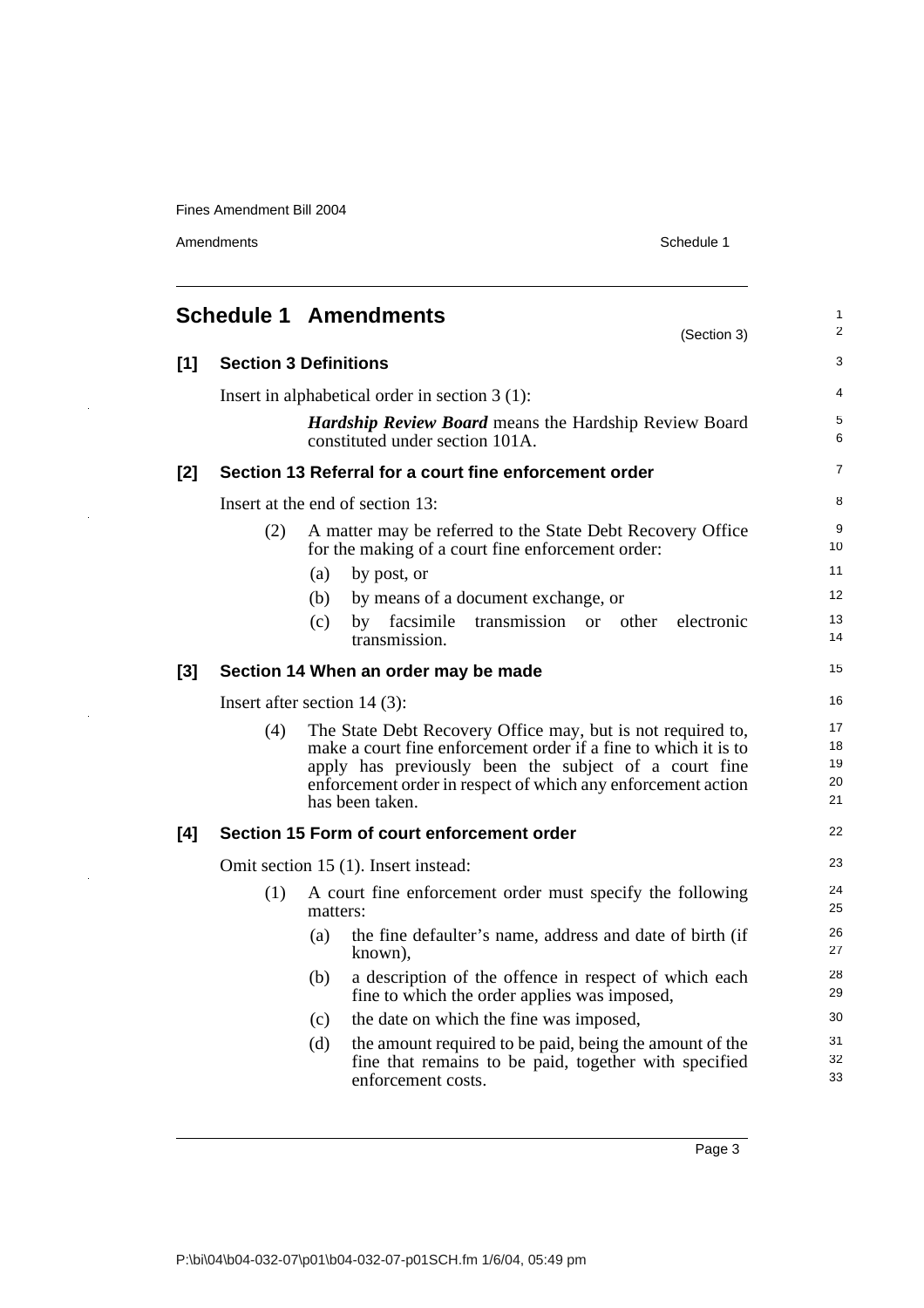Amendments Schedule 1

 $\frac{1}{2}$ 

 $\hat{\boldsymbol{\beta}}$ 

 $\ddot{\phantom{1}}$ 

<span id="page-12-0"></span>

|     |     | <b>Schedule 1 Amendments</b><br>(Section 3)                                                                                                                                                                                                                                | 1<br>2                     |
|-----|-----|----------------------------------------------------------------------------------------------------------------------------------------------------------------------------------------------------------------------------------------------------------------------------|----------------------------|
| [1] |     | <b>Section 3 Definitions</b>                                                                                                                                                                                                                                               | 3                          |
|     |     | Insert in alphabetical order in section $3(1)$ :                                                                                                                                                                                                                           | 4                          |
|     |     | <b>Hardship Review Board</b> means the Hardship Review Board<br>constituted under section 101A.                                                                                                                                                                            | 5<br>6                     |
| [2] |     | Section 13 Referral for a court fine enforcement order                                                                                                                                                                                                                     | $\overline{7}$             |
|     |     | Insert at the end of section 13:                                                                                                                                                                                                                                           | 8                          |
|     | (2) | A matter may be referred to the State Debt Recovery Office<br>for the making of a court fine enforcement order:                                                                                                                                                            | 9<br>10                    |
|     |     | (a)<br>by post, or                                                                                                                                                                                                                                                         | 11                         |
|     |     | by means of a document exchange, or<br>(b)                                                                                                                                                                                                                                 | 12 <sup>2</sup>            |
|     |     | facsimile<br>transmission<br>(c)<br>other<br>electronic<br>by<br><sub>or</sub><br>transmission.                                                                                                                                                                            | 13<br>14                   |
| [3] |     | Section 14 When an order may be made                                                                                                                                                                                                                                       | 15                         |
|     |     | Insert after section $14(3)$ :                                                                                                                                                                                                                                             | 16                         |
|     | (4) | The State Debt Recovery Office may, but is not required to,<br>make a court fine enforcement order if a fine to which it is to<br>apply has previously been the subject of a court fine<br>enforcement order in respect of which any enforcement action<br>has been taken. | 17<br>18<br>19<br>20<br>21 |
| [4] |     | Section 15 Form of court enforcement order                                                                                                                                                                                                                                 | 22                         |
|     |     | Omit section 15 (1). Insert instead:                                                                                                                                                                                                                                       | 23                         |
|     | (1) | A court fine enforcement order must specify the following<br>matters:                                                                                                                                                                                                      | 24<br>25                   |
|     |     | (a)<br>the fine defaulter's name, address and date of birth (if<br>known),                                                                                                                                                                                                 | 26<br>27                   |
|     |     | a description of the offence in respect of which each<br>(b)<br>fine to which the order applies was imposed,                                                                                                                                                               | 28<br>29                   |
|     |     | the date on which the fine was imposed,<br>(c)                                                                                                                                                                                                                             | 30                         |
|     |     | (d)<br>the amount required to be paid, being the amount of the<br>fine that remains to be paid, together with specified<br>enforcement costs.                                                                                                                              | 31<br>32<br>33             |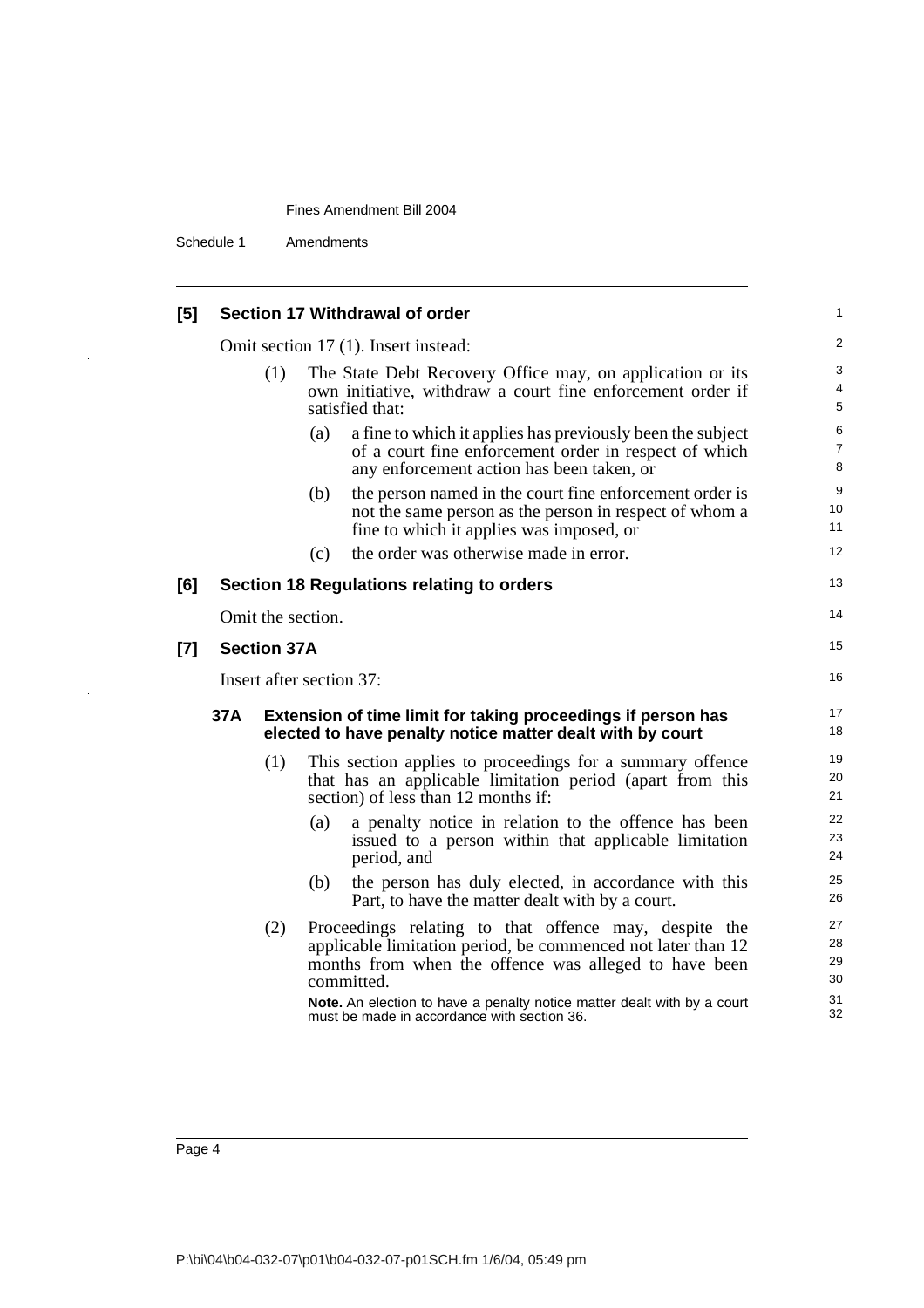Schedule 1 Amendments

| [5]   |     |                    | Section 17 Withdrawal of order                                                                                                                                                               | 1                        |
|-------|-----|--------------------|----------------------------------------------------------------------------------------------------------------------------------------------------------------------------------------------|--------------------------|
|       |     |                    | Omit section 17 (1). Insert instead:                                                                                                                                                         | 2                        |
|       |     | (1)                | The State Debt Recovery Office may, on application or its<br>own initiative, withdraw a court fine enforcement order if<br>satisfied that:                                                   | 3<br>4<br>5              |
|       |     |                    | a fine to which it applies has previously been the subject<br>(a)<br>of a court fine enforcement order in respect of which<br>any enforcement action has been taken, or                      | 6<br>$\overline{7}$<br>8 |
|       |     |                    | the person named in the court fine enforcement order is<br>(b)<br>not the same person as the person in respect of whom a<br>fine to which it applies was imposed, or                         | 9<br>10<br>11            |
|       |     |                    | the order was otherwise made in error.<br>(c)                                                                                                                                                | 12                       |
| [6]   |     |                    | Section 18 Regulations relating to orders                                                                                                                                                    | 13                       |
|       |     |                    | Omit the section.                                                                                                                                                                            | 14                       |
| $[7]$ |     | <b>Section 37A</b> |                                                                                                                                                                                              | 15                       |
|       |     |                    | Insert after section 37:                                                                                                                                                                     | 16                       |
|       | 37A |                    | Extension of time limit for taking proceedings if person has<br>elected to have penalty notice matter dealt with by court                                                                    | 17<br>18                 |
|       |     | (1)                | This section applies to proceedings for a summary offence<br>that has an applicable limitation period (apart from this<br>section) of less than 12 months if:                                | 19<br>20<br>21           |
|       |     |                    | (a)<br>a penalty notice in relation to the offence has been<br>issued to a person within that applicable limitation<br>period, and                                                           | 22<br>23<br>24           |
|       |     |                    | the person has duly elected, in accordance with this<br>(b)<br>Part, to have the matter dealt with by a court.                                                                               | 25<br>26                 |
|       |     | (2)                | Proceedings relating to that offence may, despite the<br>applicable limitation period, be commenced not later than 12<br>months from when the offence was alleged to have been<br>committed. | 27<br>28<br>29<br>30     |
|       |     |                    | Note. An election to have a penalty notice matter dealt with by a court<br>must be made in accordance with section 36.                                                                       | 31<br>32                 |

 $\bar{z}$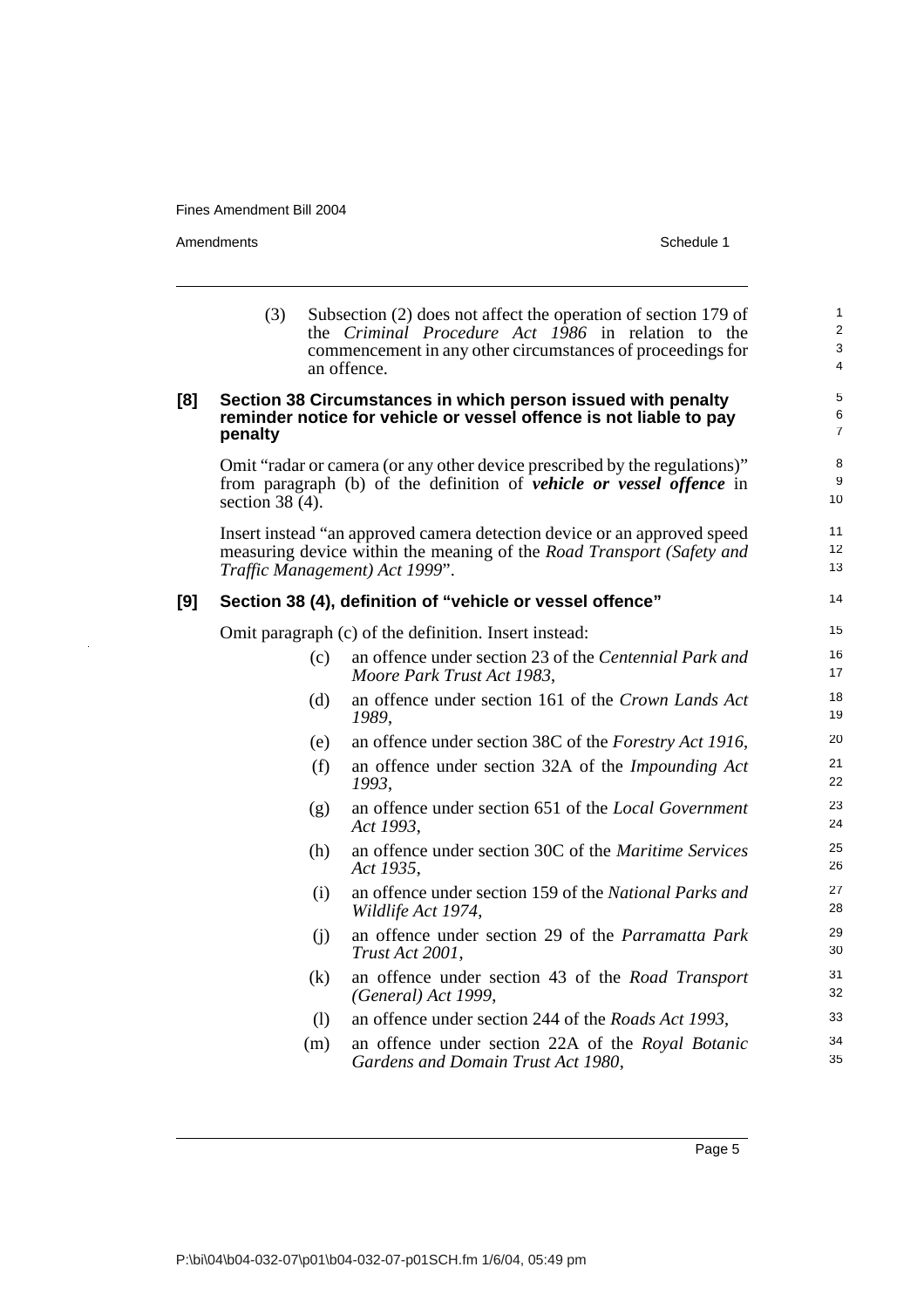Amendments Schedule 1

|     | (3)               |     | Subsection (2) does not affect the operation of section 179 of<br>the <i>Criminal Procedure Act 1986</i> in relation to the<br>commencement in any other circumstances of proceedings for<br>an offence. | 1<br>$\overline{\mathbf{c}}$<br>3<br>4 |
|-----|-------------------|-----|----------------------------------------------------------------------------------------------------------------------------------------------------------------------------------------------------------|----------------------------------------|
| [8] | penalty           |     | Section 38 Circumstances in which person issued with penalty<br>reminder notice for vehicle or vessel offence is not liable to pay                                                                       | 5<br>6<br>$\overline{7}$               |
|     | section $38(4)$ . |     | Omit "radar or camera (or any other device prescribed by the regulations)"<br>from paragraph (b) of the definition of vehicle or vessel offence in                                                       | 8<br>9<br>10                           |
|     |                   |     | Insert instead "an approved camera detection device or an approved speed<br>measuring device within the meaning of the Road Transport (Safety and<br>Traffic Management) Act 1999".                      | 11<br>12<br>13                         |
| [9] |                   |     | Section 38 (4), definition of "vehicle or vessel offence"                                                                                                                                                | 14                                     |
|     |                   |     | Omit paragraph (c) of the definition. Insert instead:                                                                                                                                                    | 15                                     |
|     |                   | (c) | an offence under section 23 of the Centennial Park and<br>Moore Park Trust Act 1983,                                                                                                                     | 16<br>17                               |
|     |                   | (d) | an offence under section 161 of the Crown Lands Act<br>1989,                                                                                                                                             | 18<br>19                               |
|     |                   | (e) | an offence under section 38C of the Forestry Act 1916,                                                                                                                                                   | 20                                     |
|     |                   | (f) | an offence under section 32A of the Impounding Act<br>1993,                                                                                                                                              | 21<br>22                               |
|     |                   | (g) | an offence under section 651 of the Local Government<br>Act 1993,                                                                                                                                        | 23<br>24                               |
|     |                   | (h) | an offence under section 30C of the <i>Maritime Services</i><br>Act 1935,                                                                                                                                | 25<br>26                               |
|     |                   | (i) | an offence under section 159 of the National Parks and<br>Wildlife Act 1974,                                                                                                                             | 27<br>28                               |
|     |                   | (i) | an offence under section 29 of the Parramatta Park<br>Trust Act 2001,                                                                                                                                    | 29<br>30                               |
|     |                   | (k) | an offence under section 43 of the Road Transport<br>(General) Act 1999,                                                                                                                                 | 31<br>32                               |
|     |                   | (1) | an offence under section 244 of the <i>Roads Act 1993</i> ,                                                                                                                                              | 33                                     |
|     |                   | (m) | an offence under section 22A of the Royal Botanic<br>Gardens and Domain Trust Act 1980,                                                                                                                  | 34<br>35                               |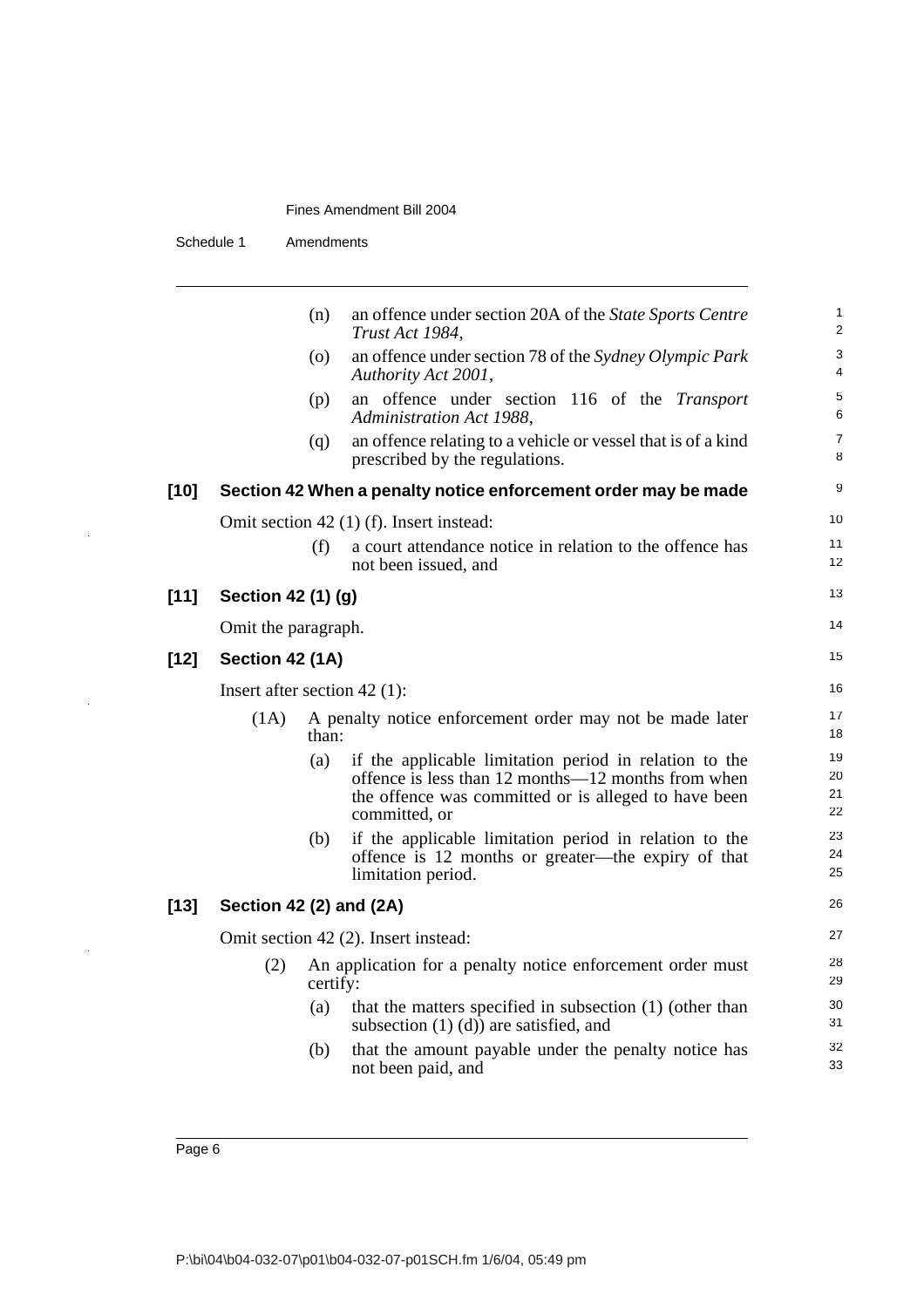Schedule 1 Amendments

|        |                                | (n)                | an offence under section 20A of the State Sports Centre<br>Trust Act 1984,                                                                                                            | 1<br>$\overline{2}$  |
|--------|--------------------------------|--------------------|---------------------------------------------------------------------------------------------------------------------------------------------------------------------------------------|----------------------|
|        |                                | $\left( 0 \right)$ | an offence under section 78 of the Sydney Olympic Park<br>Authority Act 2001,                                                                                                         | 3<br>4               |
|        |                                | (p)                | an offence under section 116 of the Transport<br>Administration Act 1988,                                                                                                             | 5<br>6               |
|        |                                | (q)                | an offence relating to a vehicle or vessel that is of a kind<br>prescribed by the regulations.                                                                                        | 7<br>8               |
| [10]   |                                |                    | Section 42 When a penalty notice enforcement order may be made                                                                                                                        | 9                    |
|        |                                |                    | Omit section 42 (1) (f). Insert instead:                                                                                                                                              | 10                   |
|        |                                | (f)                | a court attendance notice in relation to the offence has<br>not been issued, and                                                                                                      | 11<br>12             |
| $[11]$ | Section 42 (1) (g)             |                    |                                                                                                                                                                                       | 13                   |
|        | Omit the paragraph.            |                    |                                                                                                                                                                                       | 14                   |
| [12]   | Section 42 (1A)                |                    |                                                                                                                                                                                       | 15                   |
|        | Insert after section $42$ (1): |                    |                                                                                                                                                                                       | 16                   |
|        | (1A)                           | than:              | A penalty notice enforcement order may not be made later                                                                                                                              | 17<br>18             |
|        |                                | (a)                | if the applicable limitation period in relation to the<br>offence is less than 12 months—12 months from when<br>the offence was committed or is alleged to have been<br>committed, or | 19<br>20<br>21<br>22 |
|        |                                | (b)                | if the applicable limitation period in relation to the<br>offence is 12 months or greater-the expiry of that<br>limitation period.                                                    | 23<br>24<br>25       |
| [13]   | Section 42 (2) and (2A)        |                    |                                                                                                                                                                                       | 26                   |
|        |                                |                    | Omit section 42 (2). Insert instead:                                                                                                                                                  | 27                   |
|        |                                | certify:           | (2) An application for a penalty notice enforcement order must                                                                                                                        | 28<br>29             |
|        |                                | (a)                | that the matters specified in subsection (1) (other than<br>subsection $(1)$ $(d)$ are satisfied, and                                                                                 | 30<br>31             |
|        |                                | (b)                | that the amount payable under the penalty notice has<br>not been paid, and                                                                                                            | 32<br>33             |
|        |                                |                    |                                                                                                                                                                                       |                      |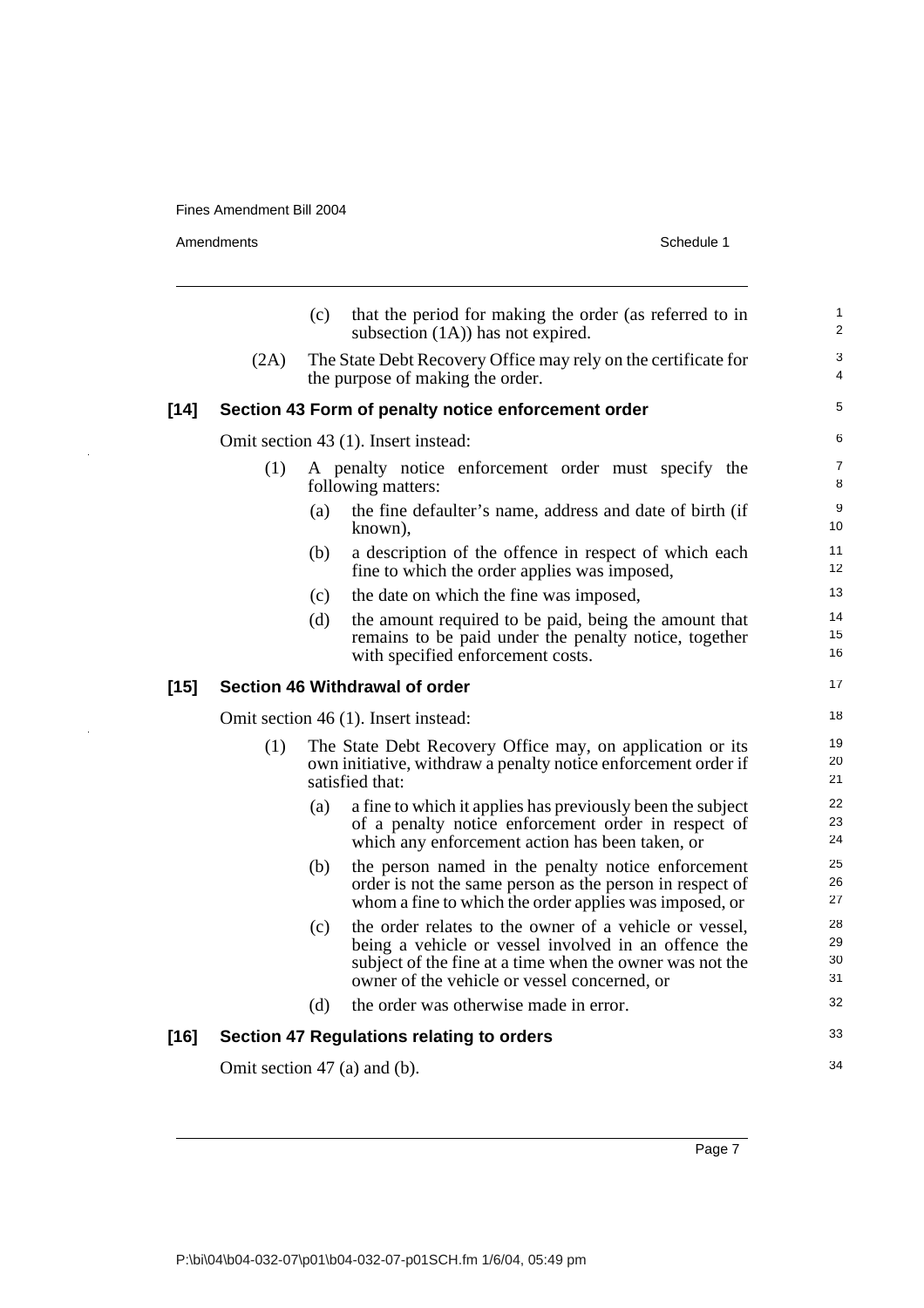$\hat{\mathcal{A}}$ 

 $\frac{1}{2}$ 

|      | Amendments |     | Schedule 1                                                                                                                                                                                                                 |                      |
|------|------------|-----|----------------------------------------------------------------------------------------------------------------------------------------------------------------------------------------------------------------------------|----------------------|
|      |            | (c) | that the period for making the order (as referred to in<br>subsection $(1A)$ has not expired.                                                                                                                              | $\mathbf{1}$<br>2    |
|      | (2A)       |     | The State Debt Recovery Office may rely on the certificate for<br>the purpose of making the order.                                                                                                                         | 3<br>4               |
| [14] |            |     | Section 43 Form of penalty notice enforcement order                                                                                                                                                                        | 5                    |
|      |            |     | Omit section 43 (1). Insert instead:                                                                                                                                                                                       | 6                    |
|      | (1)        |     | A penalty notice enforcement order must specify the<br>following matters:                                                                                                                                                  | $\overline{7}$<br>8  |
|      |            | (a) | the fine defaulter's name, address and date of birth (if<br>known),                                                                                                                                                        | 9<br>10              |
|      |            | (b) | a description of the offence in respect of which each<br>fine to which the order applies was imposed,                                                                                                                      | 11<br>12             |
|      |            | (c) | the date on which the fine was imposed,                                                                                                                                                                                    | 13                   |
|      |            | (d) | the amount required to be paid, being the amount that                                                                                                                                                                      | 14                   |
|      |            |     | remains to be paid under the penalty notice, together<br>with specified enforcement costs.                                                                                                                                 | 15<br>16             |
| [15] |            |     | Section 46 Withdrawal of order                                                                                                                                                                                             | 17                   |
|      |            |     | Omit section 46 (1). Insert instead:                                                                                                                                                                                       | 18                   |
|      | (1)        |     | The State Debt Recovery Office may, on application or its<br>own initiative, withdraw a penalty notice enforcement order if<br>satisfied that:                                                                             | 19<br>20<br>21       |
|      |            | (a) | a fine to which it applies has previously been the subject<br>of a penalty notice enforcement order in respect of<br>which any enforcement action has been taken, or                                                       | 22<br>23<br>24       |
|      |            | (b) | the person named in the penalty notice enforcement<br>order is not the same person as the person in respect of<br>whom a fine to which the order applies was imposed, or                                                   | 25<br>26<br>27       |
|      |            | (c) | the order relates to the owner of a vehicle or vessel,<br>being a vehicle or vessel involved in an offence the<br>subject of the fine at a time when the owner was not the<br>owner of the vehicle or vessel concerned, or | 28<br>29<br>30<br>31 |
|      |            | (d) | the order was otherwise made in error.                                                                                                                                                                                     | 32                   |
| [16] |            |     | Section 47 Regulations relating to orders                                                                                                                                                                                  | 33                   |
|      |            |     | Omit section 47 (a) and (b).                                                                                                                                                                                               | 34                   |

Page 7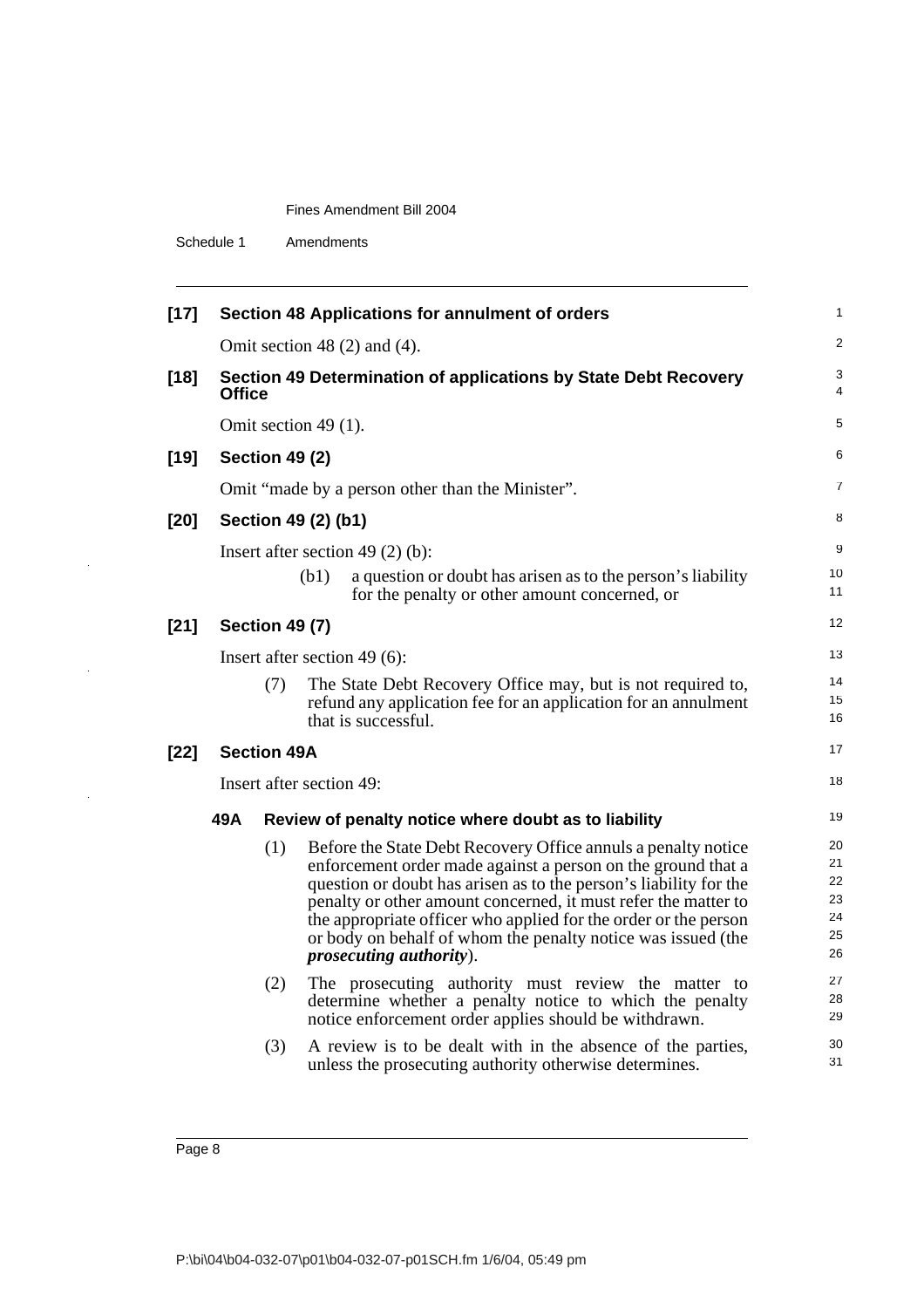Schedule 1 Amendments

| $[17]$ |               |                       | Section 48 Applications for annulment of orders                                                                                                                                                                                                                                                                                                                                                                                                                                                                                                                                                                                                                                      | 1                                                              |
|--------|---------------|-----------------------|--------------------------------------------------------------------------------------------------------------------------------------------------------------------------------------------------------------------------------------------------------------------------------------------------------------------------------------------------------------------------------------------------------------------------------------------------------------------------------------------------------------------------------------------------------------------------------------------------------------------------------------------------------------------------------------|----------------------------------------------------------------|
|        |               |                       | Omit section 48 $(2)$ and $(4)$ .                                                                                                                                                                                                                                                                                                                                                                                                                                                                                                                                                                                                                                                    | $\overline{\mathbf{c}}$                                        |
| $[18]$ | <b>Office</b> |                       | Section 49 Determination of applications by State Debt Recovery                                                                                                                                                                                                                                                                                                                                                                                                                                                                                                                                                                                                                      | 3<br>4                                                         |
|        |               |                       | Omit section 49 (1).                                                                                                                                                                                                                                                                                                                                                                                                                                                                                                                                                                                                                                                                 | 5                                                              |
| $[19]$ |               | <b>Section 49 (2)</b> |                                                                                                                                                                                                                                                                                                                                                                                                                                                                                                                                                                                                                                                                                      | 6                                                              |
|        |               |                       | Omit "made by a person other than the Minister".                                                                                                                                                                                                                                                                                                                                                                                                                                                                                                                                                                                                                                     | 7                                                              |
| $[20]$ |               |                       | Section 49 (2) (b1)                                                                                                                                                                                                                                                                                                                                                                                                                                                                                                                                                                                                                                                                  | 8                                                              |
|        |               |                       | Insert after section 49 $(2)$ $(b)$ :                                                                                                                                                                                                                                                                                                                                                                                                                                                                                                                                                                                                                                                | 9                                                              |
|        |               |                       | (b1)<br>a question or doubt has arisen as to the person's liability<br>for the penalty or other amount concerned, or                                                                                                                                                                                                                                                                                                                                                                                                                                                                                                                                                                 | 10<br>11                                                       |
| $[21]$ |               | <b>Section 49 (7)</b> |                                                                                                                                                                                                                                                                                                                                                                                                                                                                                                                                                                                                                                                                                      | 12                                                             |
|        |               |                       | Insert after section 49 $(6)$ :                                                                                                                                                                                                                                                                                                                                                                                                                                                                                                                                                                                                                                                      | 13                                                             |
|        |               | (7)                   | The State Debt Recovery Office may, but is not required to,<br>refund any application fee for an application for an annulment<br>that is successful.                                                                                                                                                                                                                                                                                                                                                                                                                                                                                                                                 | 14<br>15<br>16                                                 |
| $[22]$ |               | <b>Section 49A</b>    |                                                                                                                                                                                                                                                                                                                                                                                                                                                                                                                                                                                                                                                                                      | 17                                                             |
|        |               |                       | Insert after section 49:                                                                                                                                                                                                                                                                                                                                                                                                                                                                                                                                                                                                                                                             | 18                                                             |
|        | 49A           |                       | Review of penalty notice where doubt as to liability                                                                                                                                                                                                                                                                                                                                                                                                                                                                                                                                                                                                                                 | 19                                                             |
|        |               | (1)<br>(2)<br>(3)     | Before the State Debt Recovery Office annuls a penalty notice<br>enforcement order made against a person on the ground that a<br>question or doubt has arisen as to the person's liability for the<br>penalty or other amount concerned, it must refer the matter to<br>the appropriate officer who applied for the order or the person<br>or body on behalf of whom the penalty notice was issued (the<br><i>prosecuting authority</i> ).<br>The prosecuting authority must review the matter to<br>determine whether a penalty notice to which the penalty<br>notice enforcement order applies should be withdrawn.<br>A review is to be dealt with in the absence of the parties, | 20<br>21<br>22<br>23<br>24<br>25<br>26<br>27<br>28<br>29<br>30 |
|        |               |                       | unless the prosecuting authority otherwise determines.                                                                                                                                                                                                                                                                                                                                                                                                                                                                                                                                                                                                                               | 31                                                             |

 $\ddot{\phantom{a}}$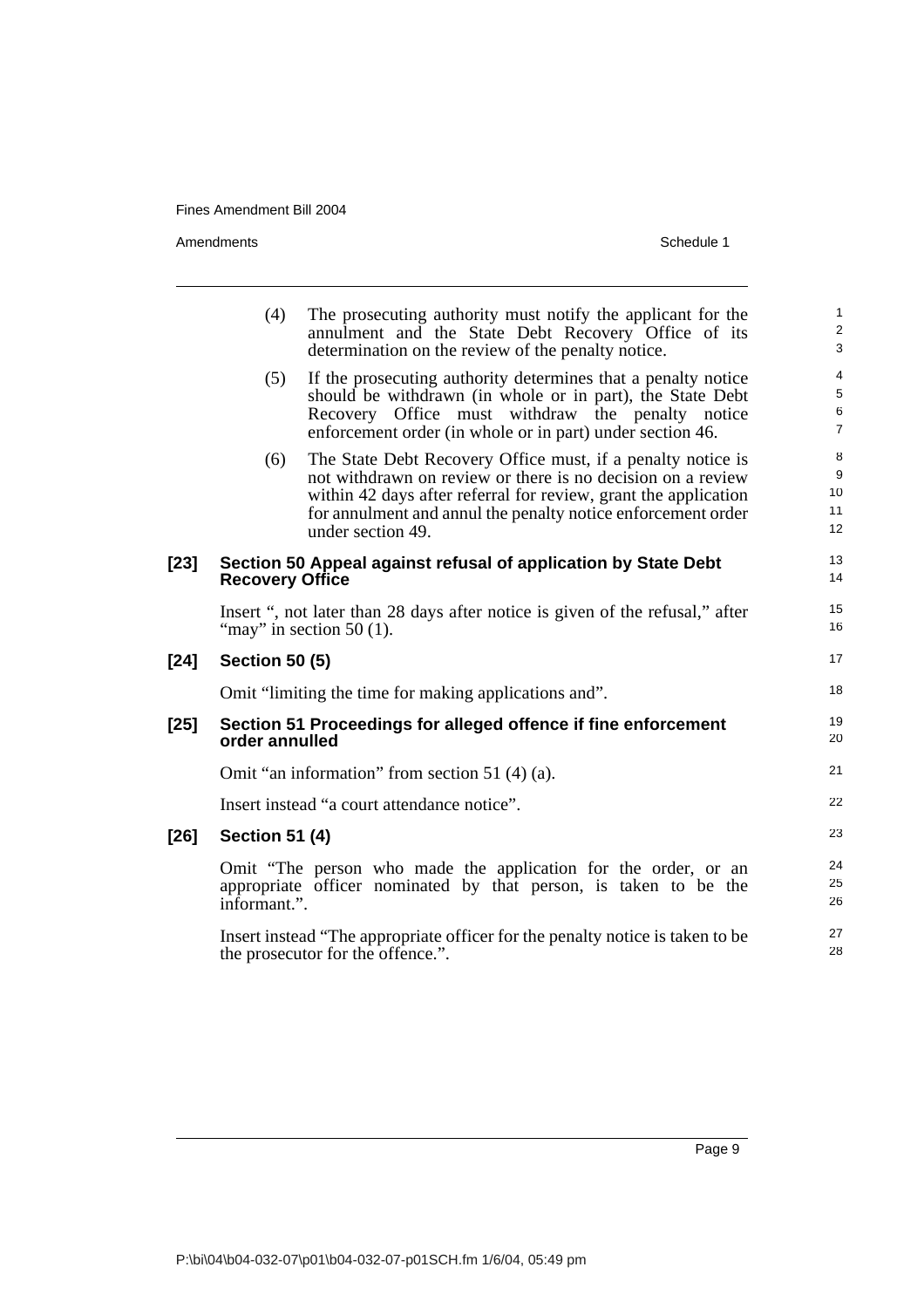Amendments Schedule 1

|        | (4)                    | The prosecuting authority must notify the applicant for the<br>annulment and the State Debt Recovery Office of its<br>determination on the review of the penalty notice.                                                                                                           | $\mathbf{1}$<br>2<br>3                     |
|--------|------------------------|------------------------------------------------------------------------------------------------------------------------------------------------------------------------------------------------------------------------------------------------------------------------------------|--------------------------------------------|
|        | (5)                    | If the prosecuting authority determines that a penalty notice<br>should be withdrawn (in whole or in part), the State Debt<br>Recovery Office must withdraw the penalty notice<br>enforcement order (in whole or in part) under section 46.                                        | $\overline{4}$<br>5<br>6<br>$\overline{7}$ |
|        | (6)                    | The State Debt Recovery Office must, if a penalty notice is<br>not withdrawn on review or there is no decision on a review<br>within 42 days after referral for review, grant the application<br>for annulment and annul the penalty notice enforcement order<br>under section 49. | 8<br>9<br>10<br>11<br>12                   |
| $[23]$ | <b>Recovery Office</b> | Section 50 Appeal against refusal of application by State Debt                                                                                                                                                                                                                     | 13<br>14                                   |
|        |                        | Insert ", not later than 28 days after notice is given of the refusal," after<br>"may" in section $50(1)$ .                                                                                                                                                                        | 15<br>16                                   |
| $[24]$ | <b>Section 50 (5)</b>  |                                                                                                                                                                                                                                                                                    | 17                                         |
|        |                        | Omit "limiting the time for making applications and".                                                                                                                                                                                                                              | 18                                         |
| $[25]$ | order annulled         | Section 51 Proceedings for alleged offence if fine enforcement                                                                                                                                                                                                                     | 19<br>20                                   |
|        |                        | Omit "an information" from section 51 (4) (a).                                                                                                                                                                                                                                     | 21                                         |
|        |                        | Insert instead "a court attendance notice".                                                                                                                                                                                                                                        | 22                                         |
| $[26]$ | <b>Section 51 (4)</b>  |                                                                                                                                                                                                                                                                                    | 23                                         |
|        | informant.".           | Omit "The person who made the application for the order, or an<br>appropriate officer nominated by that person, is taken to be the                                                                                                                                                 | 24<br>25<br>26                             |
|        |                        | Insert instead "The appropriate officer for the penalty notice is taken to be<br>the prosecutor for the offence.".                                                                                                                                                                 | 27<br>28                                   |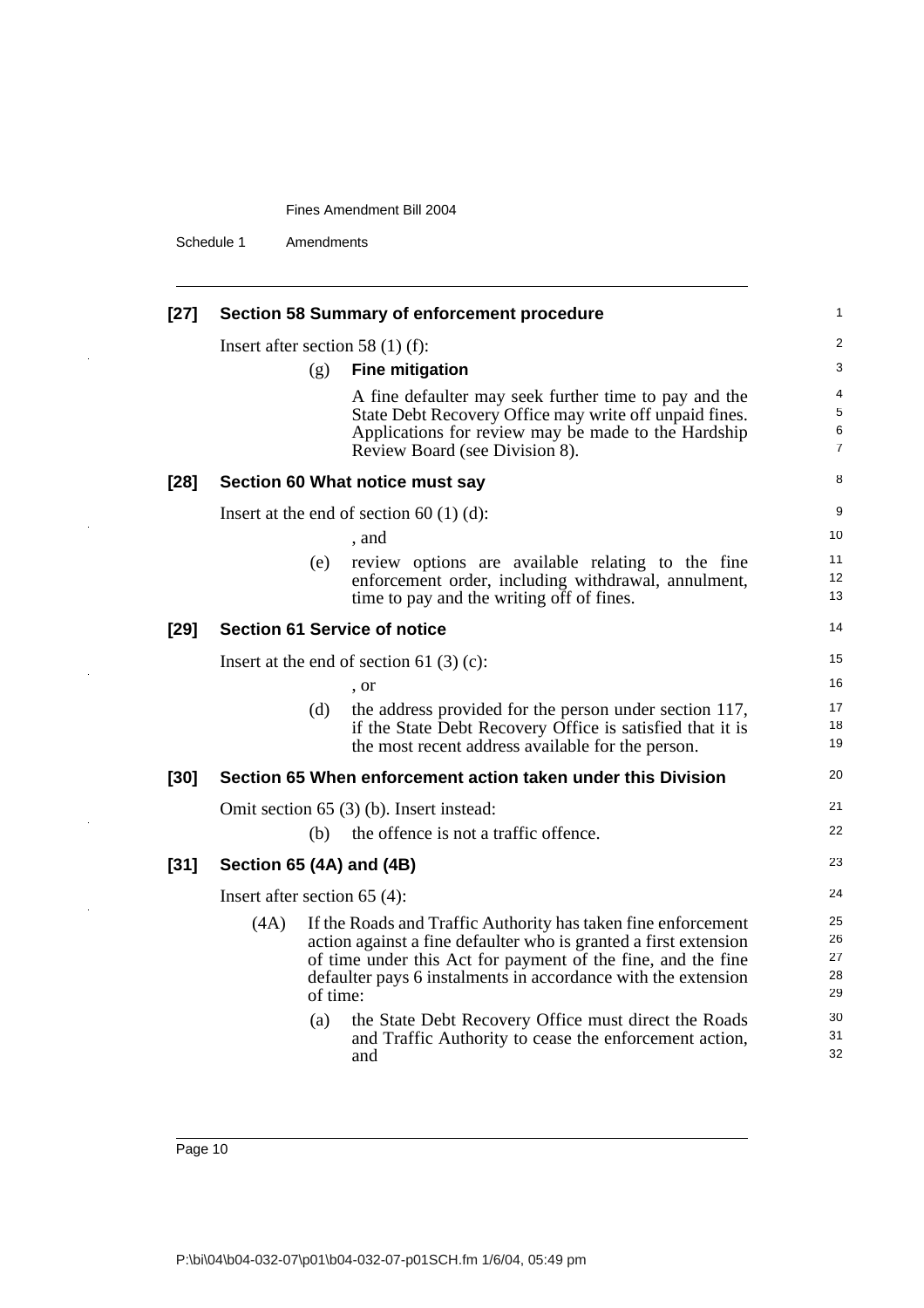Schedule 1 Amendments

 $\bar{z}$ 

 $\hat{\mathcal{L}}$ 

 $\bar{z}$ 

 $\hat{\mathcal{A}}$ 

 $\hat{\mathcal{A}}$ 

| $[27]$ |                                |          | Section 58 Summary of enforcement procedure                                                                                                                                                                                                                        | 1                          |
|--------|--------------------------------|----------|--------------------------------------------------------------------------------------------------------------------------------------------------------------------------------------------------------------------------------------------------------------------|----------------------------|
|        |                                |          | Insert after section 58 $(1)$ (f):                                                                                                                                                                                                                                 | $\overline{c}$             |
|        |                                | (g)      | <b>Fine mitigation</b>                                                                                                                                                                                                                                             | 3                          |
|        |                                |          | A fine defaulter may seek further time to pay and the<br>State Debt Recovery Office may write off unpaid fines.<br>Applications for review may be made to the Hardship<br>Review Board (see Division 8).                                                           | 4<br>5<br>6<br>7           |
| $[28]$ |                                |          | Section 60 What notice must say                                                                                                                                                                                                                                    | 8                          |
|        |                                |          | Insert at the end of section 60 $(1)$ (d):                                                                                                                                                                                                                         | 9                          |
|        |                                |          | , and                                                                                                                                                                                                                                                              | 10                         |
|        |                                | (e)      | review options are available relating to the fine<br>enforcement order, including withdrawal, annulment,<br>time to pay and the writing off of fines.                                                                                                              | 11<br>12<br>13             |
| $[29]$ |                                |          | <b>Section 61 Service of notice</b>                                                                                                                                                                                                                                | 14                         |
|        |                                |          | Insert at the end of section 61 $(3)(c)$ :                                                                                                                                                                                                                         | 15                         |
|        |                                |          | , or                                                                                                                                                                                                                                                               | 16                         |
|        |                                | (d)      | the address provided for the person under section 117,<br>if the State Debt Recovery Office is satisfied that it is<br>the most recent address available for the person.                                                                                           | 17<br>18<br>19             |
| $[30]$ |                                |          | Section 65 When enforcement action taken under this Division                                                                                                                                                                                                       | 20                         |
|        |                                |          | Omit section 65 (3) (b). Insert instead:                                                                                                                                                                                                                           | 21                         |
|        |                                | (b)      | the offence is not a traffic offence.                                                                                                                                                                                                                              | 22                         |
| $[31]$ | Section 65 (4A) and (4B)       |          |                                                                                                                                                                                                                                                                    | 23                         |
|        | Insert after section $65(4)$ : |          |                                                                                                                                                                                                                                                                    | 24                         |
|        | (4A)                           | of time: | If the Roads and Traffic Authority has taken fine enforcement<br>action against a fine defaulter who is granted a first extension<br>of time under this Act for payment of the fine, and the fine<br>defaulter pays 6 instalments in accordance with the extension | 25<br>26<br>27<br>28<br>29 |
|        |                                | (a)      | the State Debt Recovery Office must direct the Roads<br>and Traffic Authority to cease the enforcement action,<br>and                                                                                                                                              | 30<br>31<br>32             |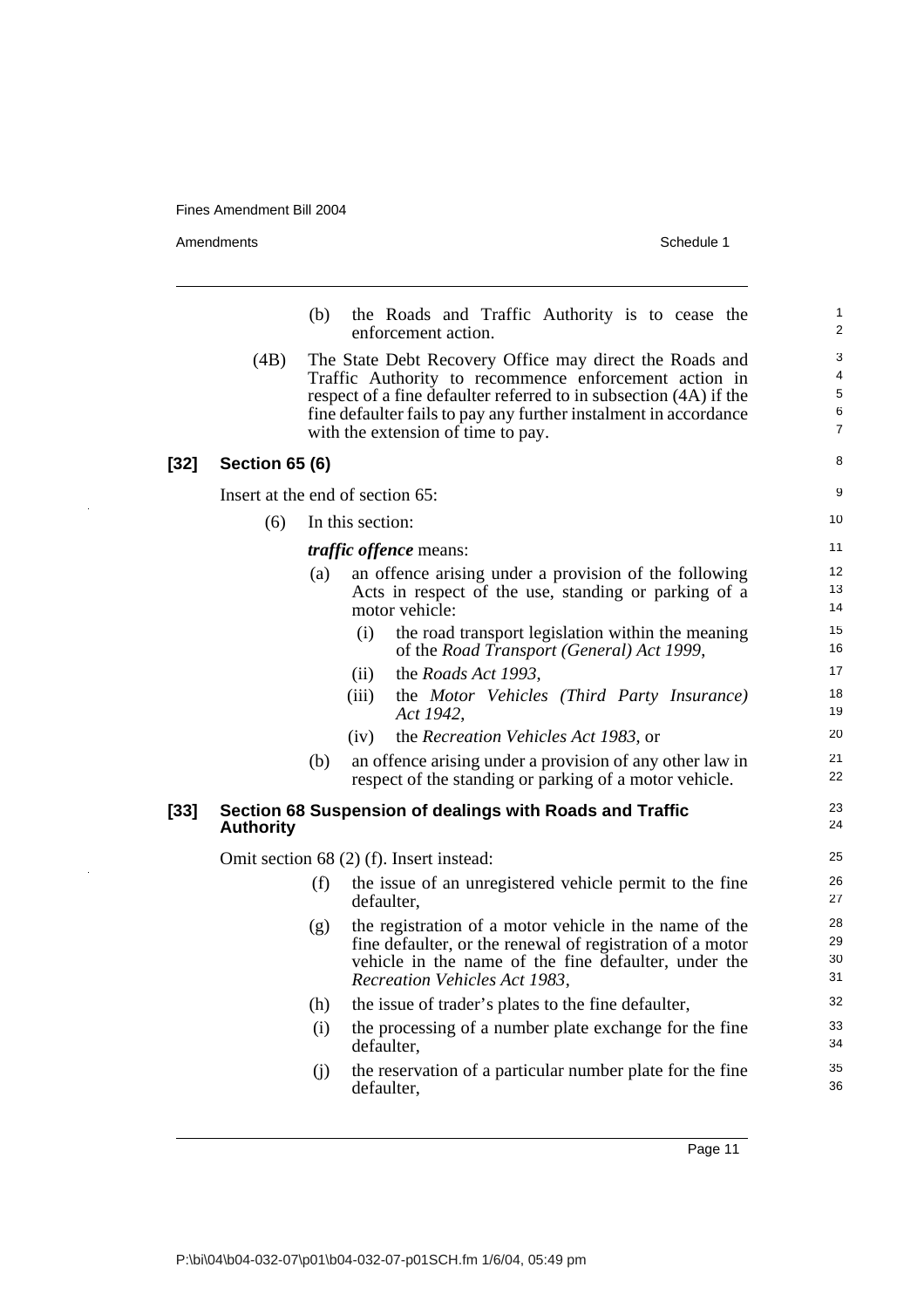Amendments Schedule 1

[32]

 $\overline{\phantom{a}}$ 

 $\ddot{\phantom{a}}$ 

|      |                       | (b) | the Roads and Traffic Authority is to cease the<br>enforcement action.                                                                                                                                                                                                                          | 1<br>$\overline{c}$                |
|------|-----------------------|-----|-------------------------------------------------------------------------------------------------------------------------------------------------------------------------------------------------------------------------------------------------------------------------------------------------|------------------------------------|
|      | (4B)                  |     | The State Debt Recovery Office may direct the Roads and<br>Traffic Authority to recommence enforcement action in<br>respect of a fine defaulter referred to in subsection (4A) if the<br>fine defaulter fails to pay any further instalment in accordance<br>with the extension of time to pay. | 3<br>4<br>5<br>6<br>$\overline{7}$ |
| [32] | <b>Section 65 (6)</b> |     |                                                                                                                                                                                                                                                                                                 | 8                                  |
|      |                       |     | Insert at the end of section 65:                                                                                                                                                                                                                                                                | 9                                  |
|      | (6)                   |     | In this section:                                                                                                                                                                                                                                                                                | 10                                 |
|      |                       |     | <i>traffic offence</i> means:                                                                                                                                                                                                                                                                   | 11                                 |
|      |                       | (a) | an offence arising under a provision of the following<br>Acts in respect of the use, standing or parking of a<br>motor vehicle:                                                                                                                                                                 | 12<br>13<br>14                     |
|      |                       |     | (i)<br>the road transport legislation within the meaning<br>of the Road Transport (General) Act 1999,                                                                                                                                                                                           | 15<br>16                           |
|      |                       |     | the Roads Act 1993,<br>(ii)                                                                                                                                                                                                                                                                     | 17                                 |
|      |                       |     | (iii)<br>the Motor Vehicles (Third Party Insurance)<br>Act 1942,                                                                                                                                                                                                                                | 18<br>19                           |
|      |                       |     | (iv)<br>the Recreation Vehicles Act 1983, or                                                                                                                                                                                                                                                    | 20                                 |
|      |                       | (b) | an offence arising under a provision of any other law in<br>respect of the standing or parking of a motor vehicle.                                                                                                                                                                              | 21<br>22                           |
| [33] | <b>Authority</b>      |     | Section 68 Suspension of dealings with Roads and Traffic                                                                                                                                                                                                                                        | 23<br>24                           |
|      |                       |     | Omit section 68 (2) (f). Insert instead:                                                                                                                                                                                                                                                        | 25                                 |
|      |                       | (f) | the issue of an unregistered vehicle permit to the fine<br>defaulter,                                                                                                                                                                                                                           | 26<br>27                           |
|      |                       | (g) | the registration of a motor vehicle in the name of the<br>fine defaulter, or the renewal of registration of a motor<br>vehicle in the name of the fine defaulter, under the<br>Recreation Vehicles Act 1983,                                                                                    | 28<br>29<br>30<br>31               |
|      |                       | (h) | the issue of trader's plates to the fine defaulter,                                                                                                                                                                                                                                             | 32                                 |
|      |                       | (i) | the processing of a number plate exchange for the fine<br>defaulter,                                                                                                                                                                                                                            | 33<br>34                           |
|      |                       | (i) | the reservation of a particular number plate for the fine<br>defaulter,                                                                                                                                                                                                                         | 35<br>36                           |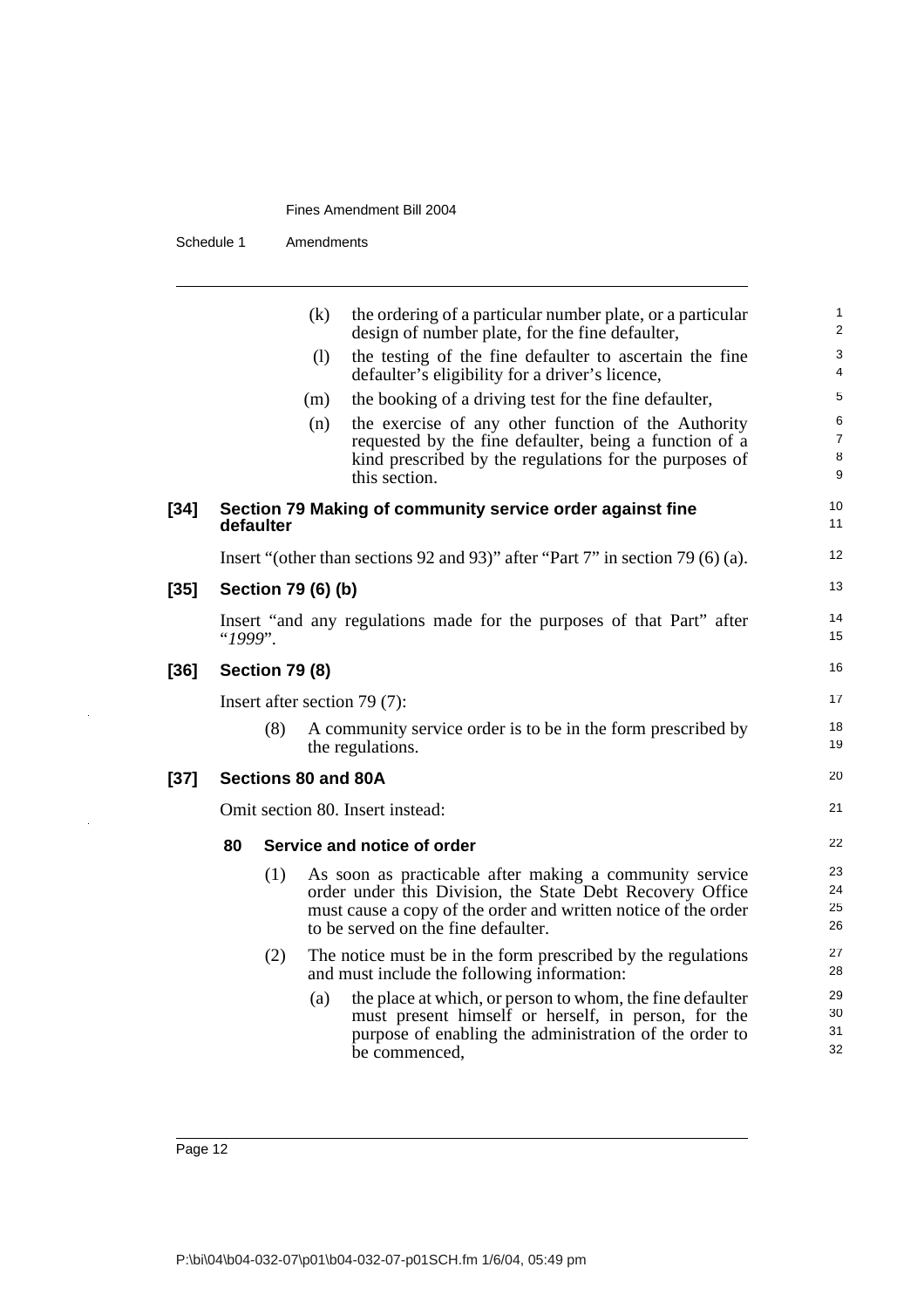Schedule 1 Amendments

|        |                                                                                                                   |                    | (k) | the ordering of a particular number plate, or a particular<br>design of number plate, for the fine defaulter,                                                                                                                 |  |  |
|--------|-------------------------------------------------------------------------------------------------------------------|--------------------|-----|-------------------------------------------------------------------------------------------------------------------------------------------------------------------------------------------------------------------------------|--|--|
|        | the testing of the fine defaulter to ascertain the fine<br>(1)<br>defaulter's eligibility for a driver's licence, |                    |     |                                                                                                                                                                                                                               |  |  |
|        |                                                                                                                   |                    | (m) | the booking of a driving test for the fine defaulter,                                                                                                                                                                         |  |  |
|        |                                                                                                                   |                    | (n) | the exercise of any other function of the Authority<br>requested by the fine defaulter, being a function of a<br>kind prescribed by the regulations for the purposes of<br>this section.                                      |  |  |
| $[34]$ | Section 79 Making of community service order against fine<br>defaulter                                            |                    |     |                                                                                                                                                                                                                               |  |  |
|        |                                                                                                                   |                    |     | Insert "(other than sections 92 and 93)" after "Part 7" in section 79 (6) (a).                                                                                                                                                |  |  |
| [35]   |                                                                                                                   | Section 79 (6) (b) |     |                                                                                                                                                                                                                               |  |  |
|        | Insert "and any regulations made for the purposes of that Part" after<br>"1999".                                  |                    |     |                                                                                                                                                                                                                               |  |  |
| [36]   | <b>Section 79 (8)</b>                                                                                             |                    |     |                                                                                                                                                                                                                               |  |  |
|        |                                                                                                                   |                    |     | Insert after section 79 (7):                                                                                                                                                                                                  |  |  |
|        |                                                                                                                   | (8)                |     | A community service order is to be in the form prescribed by<br>the regulations.                                                                                                                                              |  |  |
| [37]   | Sections 80 and 80A                                                                                               |                    |     |                                                                                                                                                                                                                               |  |  |
|        |                                                                                                                   |                    |     | Omit section 80. Insert instead:                                                                                                                                                                                              |  |  |
|        | 80                                                                                                                |                    |     | Service and notice of order                                                                                                                                                                                                   |  |  |
|        |                                                                                                                   | (1)                |     | As soon as practicable after making a community service<br>order under this Division, the State Debt Recovery Office<br>must cause a copy of the order and written notice of the order<br>to be served on the fine defaulter. |  |  |
|        |                                                                                                                   | (2)                |     | The notice must be in the form prescribed by the regulations<br>and must include the following information:                                                                                                                   |  |  |
|        |                                                                                                                   |                    | (a) | the place at which, or person to whom, the fine defaulter<br>must present himself or herself, in person, for the<br>purpose of enabling the administration of the order to<br>be commenced.                                   |  |  |
|        |                                                                                                                   |                    |     |                                                                                                                                                                                                                               |  |  |

 $\overline{\phantom{a}}$ 

 $\hat{\mathcal{A}}$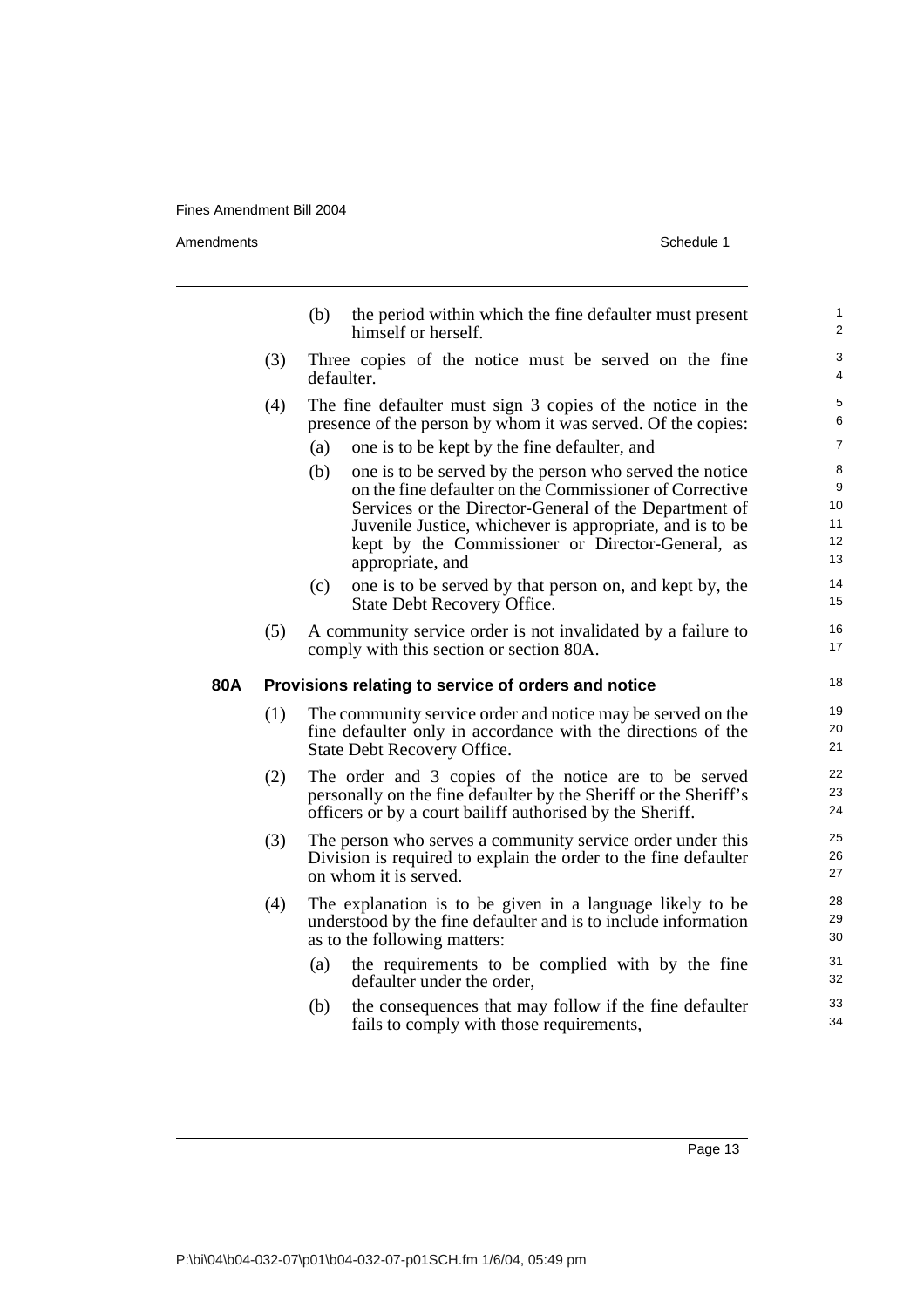Amendments Schedule 1

|     |     | the period within which the fine defaulter must present<br>(b)<br>himself or herself.                                                                                                                                                                                                                                  | $\mathbf{1}$<br>$\overline{2}$ |
|-----|-----|------------------------------------------------------------------------------------------------------------------------------------------------------------------------------------------------------------------------------------------------------------------------------------------------------------------------|--------------------------------|
|     | (3) | Three copies of the notice must be served on the fine<br>defaulter.                                                                                                                                                                                                                                                    | 3<br>$\overline{4}$            |
|     | (4) | The fine defaulter must sign 3 copies of the notice in the<br>presence of the person by whom it was served. Of the copies:                                                                                                                                                                                             | 5<br>6                         |
|     |     | (a)<br>one is to be kept by the fine defaulter, and                                                                                                                                                                                                                                                                    | 7                              |
|     |     | one is to be served by the person who served the notice<br>(b)<br>on the fine defaulter on the Commissioner of Corrective<br>Services or the Director-General of the Department of<br>Juvenile Justice, whichever is appropriate, and is to be<br>kept by the Commissioner or Director-General, as<br>appropriate, and | 8<br>9<br>10<br>11<br>12<br>13 |
|     |     | one is to be served by that person on, and kept by, the<br>(c)<br>State Debt Recovery Office.                                                                                                                                                                                                                          | 14<br>15                       |
|     | (5) | A community service order is not invalidated by a failure to<br>comply with this section or section 80A.                                                                                                                                                                                                               | 16<br>17                       |
| 80A |     | Provisions relating to service of orders and notice                                                                                                                                                                                                                                                                    | 18                             |
|     | (1) | The community service order and notice may be served on the<br>fine defaulter only in accordance with the directions of the<br>State Debt Recovery Office.                                                                                                                                                             | 19<br>20<br>21                 |
|     | (2) | The order and 3 copies of the notice are to be served<br>personally on the fine defaulter by the Sheriff or the Sheriff's<br>officers or by a court bailiff authorised by the Sheriff.                                                                                                                                 | 22<br>23<br>24                 |
|     | (3) | The person who serves a community service order under this<br>Division is required to explain the order to the fine defaulter<br>on whom it is served.                                                                                                                                                                 | 25<br>26<br>27                 |
|     | (4) | The explanation is to be given in a language likely to be<br>understood by the fine defaulter and is to include information<br>as to the following matters:                                                                                                                                                            | 28<br>29<br>30                 |
|     |     | the requirements to be complied with by the fine<br>(a)<br>defaulter under the order,                                                                                                                                                                                                                                  | 31<br>32                       |
|     |     | the consequences that may follow if the fine defaulter<br>(b)<br>fails to comply with those requirements,                                                                                                                                                                                                              | 33<br>34                       |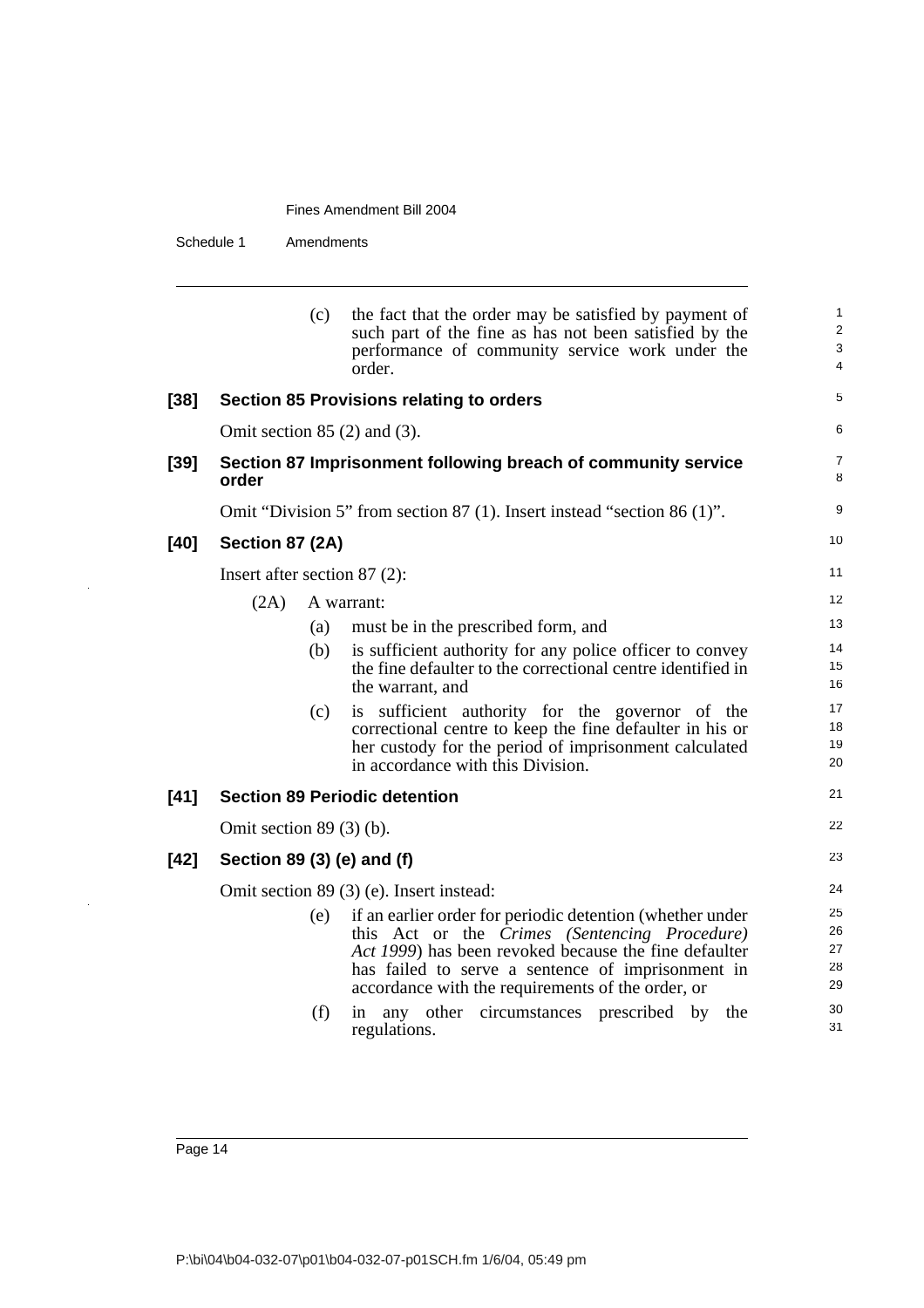Schedule 1 Amendments

|        |                                | (c) | the fact that the order may be satisfied by payment of<br>such part of the fine as has not been satisfied by the<br>performance of community service work under the<br>order.                                                                                                 | 1<br>$\overline{c}$<br>3<br>$\overline{4}$ |
|--------|--------------------------------|-----|-------------------------------------------------------------------------------------------------------------------------------------------------------------------------------------------------------------------------------------------------------------------------------|--------------------------------------------|
| $[38]$ |                                |     | <b>Section 85 Provisions relating to orders</b>                                                                                                                                                                                                                               | 5                                          |
|        |                                |     | Omit section $85(2)$ and $(3)$ .                                                                                                                                                                                                                                              | 6                                          |
| [39]   | order                          |     | Section 87 Imprisonment following breach of community service                                                                                                                                                                                                                 | 7<br>8                                     |
|        |                                |     | Omit "Division 5" from section 87 (1). Insert instead "section 86 (1)".                                                                                                                                                                                                       | 9                                          |
| [40]   | Section 87 (2A)                |     |                                                                                                                                                                                                                                                                               | 10                                         |
|        | Insert after section $87(2)$ : |     |                                                                                                                                                                                                                                                                               | 11                                         |
|        | (2A)                           |     | A warrant:                                                                                                                                                                                                                                                                    | 12                                         |
|        |                                | (a) | must be in the prescribed form, and                                                                                                                                                                                                                                           | 13                                         |
|        |                                | (b) | is sufficient authority for any police officer to convey<br>the fine defaulter to the correctional centre identified in<br>the warrant, and                                                                                                                                   | 14<br>15<br>16                             |
|        |                                | (c) | is sufficient authority for the governor of the<br>correctional centre to keep the fine defaulter in his or<br>her custody for the period of imprisonment calculated<br>in accordance with this Division.                                                                     | 17<br>18<br>19<br>20                       |
| [41]   |                                |     | <b>Section 89 Periodic detention</b>                                                                                                                                                                                                                                          | 21                                         |
|        | Omit section $89(3)(b)$ .      |     |                                                                                                                                                                                                                                                                               | 22                                         |
| [42]   | Section 89 (3) (e) and (f)     |     |                                                                                                                                                                                                                                                                               | 23                                         |
|        |                                |     | Omit section 89 (3) (e). Insert instead:                                                                                                                                                                                                                                      | 24                                         |
|        |                                | (e) | if an earlier order for periodic detention (whether under<br>this Act or the Crimes (Sentencing Procedure)<br>Act 1999) has been revoked because the fine defaulter<br>has failed to serve a sentence of imprisonment in<br>accordance with the requirements of the order, or | 25<br>26<br>27<br>28<br>29<br>30           |
|        |                                | (f) | any other circumstances prescribed by<br>the<br>1n<br>regulations.                                                                                                                                                                                                            | 31                                         |

 $\hat{\boldsymbol{\tau}}$ 

 $\bar{z}$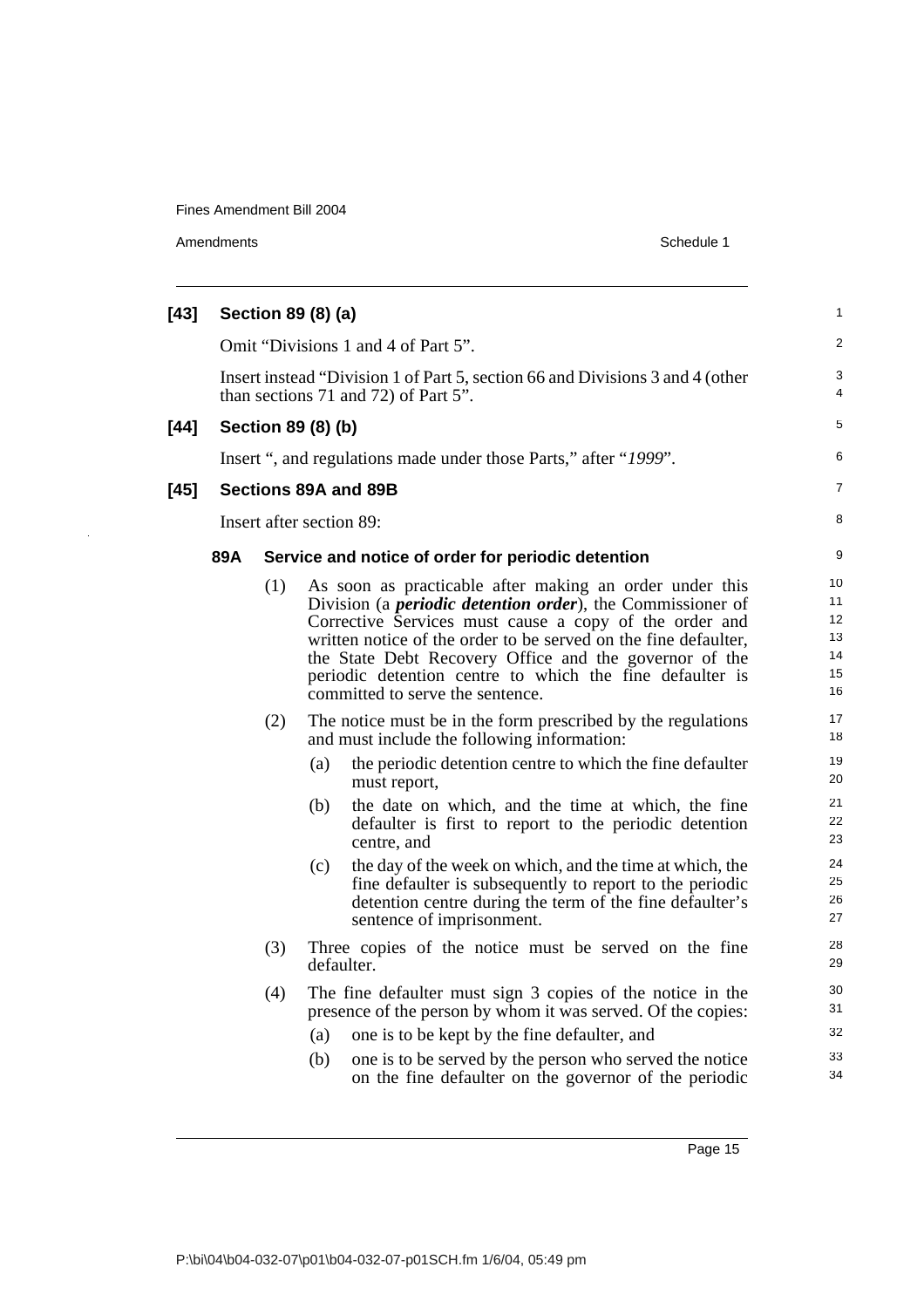$\hat{\mathcal{A}}$ 

|      | Amendments         |     | Schedule 1                                                                                                                                                                                                                                                                                                                                                                                                           |  |  |  |
|------|--------------------|-----|----------------------------------------------------------------------------------------------------------------------------------------------------------------------------------------------------------------------------------------------------------------------------------------------------------------------------------------------------------------------------------------------------------------------|--|--|--|
| [43] | Section 89 (8) (a) |     |                                                                                                                                                                                                                                                                                                                                                                                                                      |  |  |  |
|      |                    |     | Omit "Divisions 1 and 4 of Part 5".                                                                                                                                                                                                                                                                                                                                                                                  |  |  |  |
|      |                    |     | Insert instead "Division 1 of Part 5, section 66 and Divisions 3 and 4 (other<br>than sections 71 and 72) of Part 5".                                                                                                                                                                                                                                                                                                |  |  |  |
| [44] |                    |     | Section 89 (8) (b)                                                                                                                                                                                                                                                                                                                                                                                                   |  |  |  |
|      |                    |     | Insert ", and regulations made under those Parts," after "1999".                                                                                                                                                                                                                                                                                                                                                     |  |  |  |
| [45] |                    |     | Sections 89A and 89B                                                                                                                                                                                                                                                                                                                                                                                                 |  |  |  |
|      |                    |     | Insert after section 89:                                                                                                                                                                                                                                                                                                                                                                                             |  |  |  |
|      | 89A                |     | Service and notice of order for periodic detention                                                                                                                                                                                                                                                                                                                                                                   |  |  |  |
|      |                    | (1) | As soon as practicable after making an order under this<br>Division (a <i>periodic detention order</i> ), the Commissioner of<br>Corrective Services must cause a copy of the order and<br>written notice of the order to be served on the fine defaulter,<br>the State Debt Recovery Office and the governor of the<br>periodic detention centre to which the fine defaulter is<br>committed to serve the sentence. |  |  |  |
|      |                    | (2) | The notice must be in the form prescribed by the regulations<br>and must include the following information:<br>the periodic detention centre to which the fine defaulter<br>(a)<br>must report,                                                                                                                                                                                                                      |  |  |  |
|      |                    |     | the date on which, and the time at which, the fine<br>(b)<br>defaulter is first to report to the periodic detention<br>centre, and                                                                                                                                                                                                                                                                                   |  |  |  |
|      |                    |     | the day of the week on which, and the time at which, the<br>(c)<br>fine defaulter is subsequently to report to the periodic<br>detention centre during the term of the fine defaulter's<br>sentence of imprisonment.                                                                                                                                                                                                 |  |  |  |
|      |                    | (3) | Three copies of the notice must be served on the fine<br>defaulter.                                                                                                                                                                                                                                                                                                                                                  |  |  |  |
|      |                    | (4) | The fine defaulter must sign 3 copies of the notice in the<br>presence of the person by whom it was served. Of the copies:<br>one is to be kept by the fine defaulter, and<br>(a)                                                                                                                                                                                                                                    |  |  |  |
|      |                    |     | (b)<br>one is to be served by the person who served the notice<br>on the fine defaulter on the governor of the periodic                                                                                                                                                                                                                                                                                              |  |  |  |
|      |                    |     |                                                                                                                                                                                                                                                                                                                                                                                                                      |  |  |  |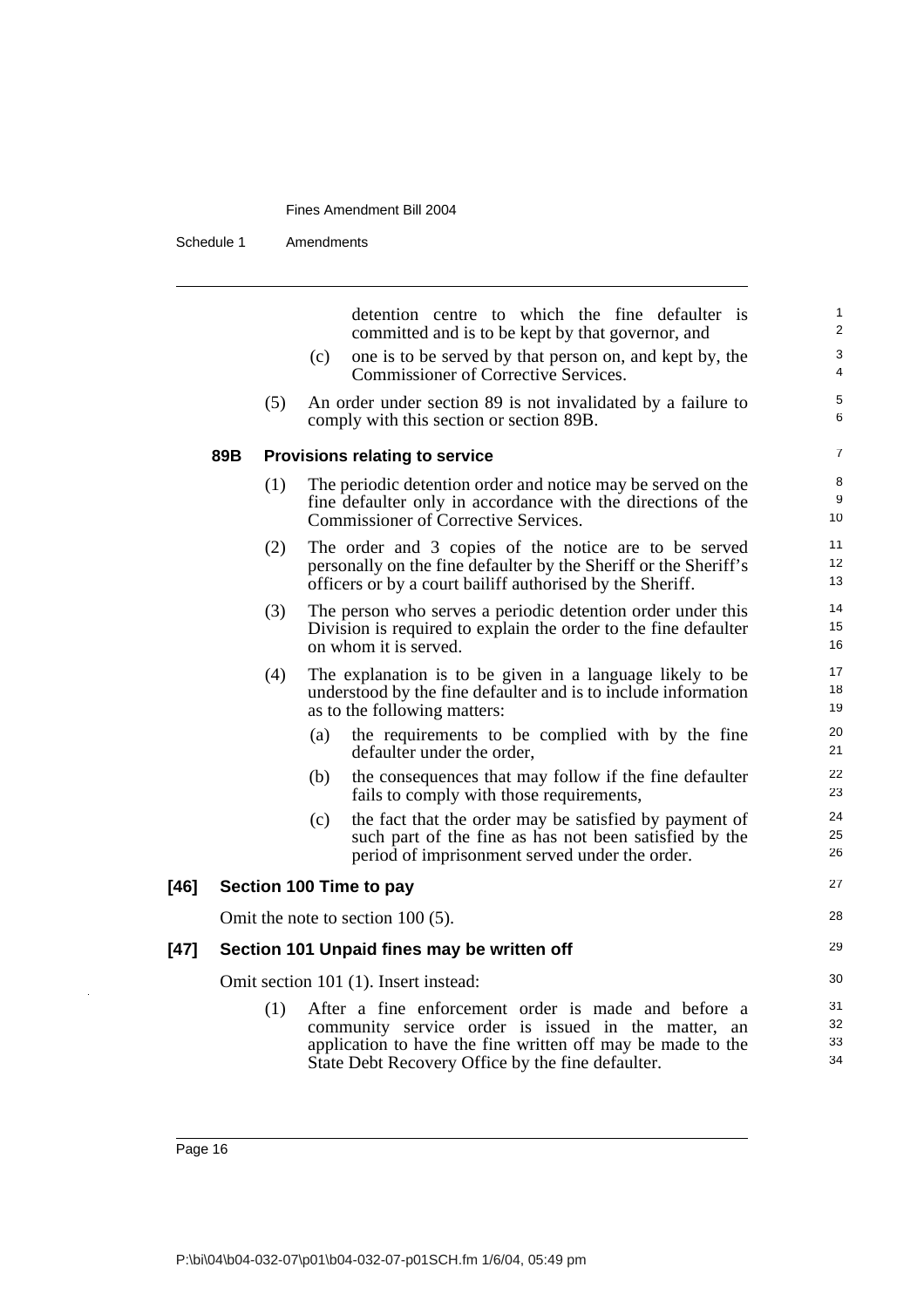Schedule 1 Amendments

|        |     |     |                                                                                                                                                         | detention centre to which the fine defaulter is<br>committed and is to be kept by that governor, and                                                                                                                           | 1<br>$\overline{2}$  |
|--------|-----|-----|---------------------------------------------------------------------------------------------------------------------------------------------------------|--------------------------------------------------------------------------------------------------------------------------------------------------------------------------------------------------------------------------------|----------------------|
|        |     |     | (c)                                                                                                                                                     | one is to be served by that person on, and kept by, the<br>Commissioner of Corrective Services.                                                                                                                                | 3<br>4               |
|        |     | (5) |                                                                                                                                                         | An order under section 89 is not invalidated by a failure to<br>comply with this section or section 89B.                                                                                                                       | 5<br>6               |
|        | 89B |     |                                                                                                                                                         | <b>Provisions relating to service</b>                                                                                                                                                                                          | 7                    |
|        |     | (1) |                                                                                                                                                         | The periodic detention order and notice may be served on the<br>fine defaulter only in accordance with the directions of the<br><b>Commissioner of Corrective Services.</b>                                                    | 8<br>9<br>10         |
|        |     | (2) |                                                                                                                                                         | The order and 3 copies of the notice are to be served<br>personally on the fine defaulter by the Sheriff or the Sheriff's<br>officers or by a court bailiff authorised by the Sheriff.                                         | 11<br>12<br>13       |
|        | (3) |     | The person who serves a periodic detention order under this<br>Division is required to explain the order to the fine defaulter<br>on whom it is served. | 14<br>15<br>16                                                                                                                                                                                                                 |                      |
|        |     | (4) |                                                                                                                                                         | The explanation is to be given in a language likely to be<br>understood by the fine defaulter and is to include information<br>as to the following matters:                                                                    | 17<br>18<br>19       |
|        |     |     | (a)                                                                                                                                                     | the requirements to be complied with by the fine<br>defaulter under the order,                                                                                                                                                 | 20<br>21             |
|        |     |     | (b)                                                                                                                                                     | the consequences that may follow if the fine defaulter<br>fails to comply with those requirements,                                                                                                                             | 22<br>23             |
|        |     |     | (c)                                                                                                                                                     | the fact that the order may be satisfied by payment of<br>such part of the fine as has not been satisfied by the<br>period of imprisonment served under the order.                                                             | 24<br>25<br>26       |
| $[46]$ |     |     |                                                                                                                                                         | Section 100 Time to pay                                                                                                                                                                                                        | 27                   |
|        |     |     |                                                                                                                                                         | Omit the note to section $100(5)$ .                                                                                                                                                                                            | 28                   |
| $[47]$ |     |     |                                                                                                                                                         | Section 101 Unpaid fines may be written off                                                                                                                                                                                    | 29                   |
|        |     |     |                                                                                                                                                         | Omit section 101 (1). Insert instead:                                                                                                                                                                                          | 30                   |
|        |     | (1) |                                                                                                                                                         | After a fine enforcement order is made and before a<br>community service order is issued in the matter, an<br>application to have the fine written off may be made to the<br>State Debt Recovery Office by the fine defaulter. | 31<br>32<br>33<br>34 |

l,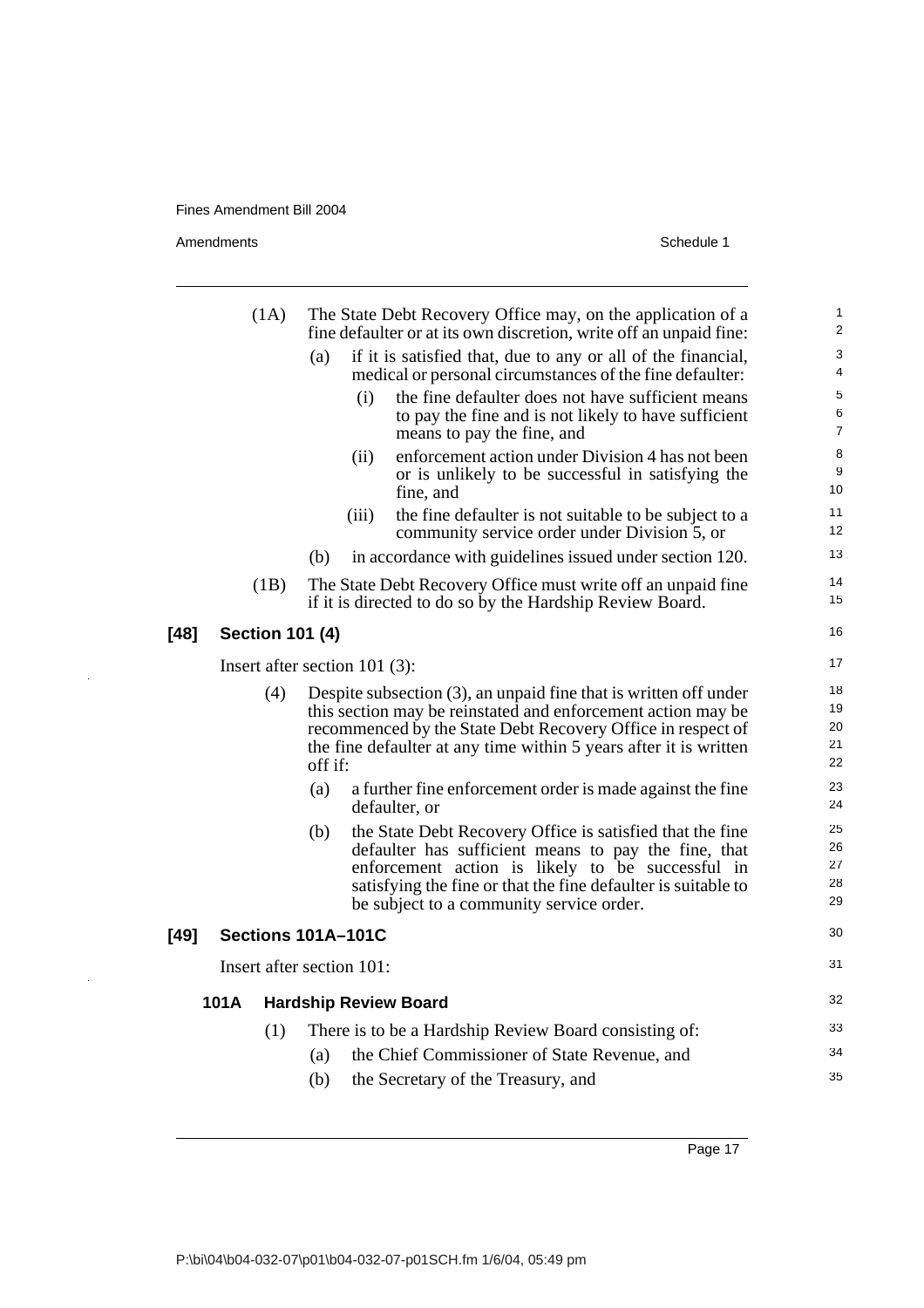Amendments Schedule 1

 $\bar{z}$ 

 $\ddot{\phantom{a}}$ 

|      |      | (1A)                          |         |       | The State Debt Recovery Office may, on the application of a<br>fine defaulter or at its own discretion, write off an unpaid fine:                                                                                                                                                  | 1<br>$\overline{2}$        |
|------|------|-------------------------------|---------|-------|------------------------------------------------------------------------------------------------------------------------------------------------------------------------------------------------------------------------------------------------------------------------------------|----------------------------|
|      |      |                               | (a)     |       | if it is satisfied that, due to any or all of the financial,                                                                                                                                                                                                                       | 3                          |
|      |      |                               |         |       | medical or personal circumstances of the fine defaulter:                                                                                                                                                                                                                           | 4<br>5                     |
|      |      |                               |         | (i)   | the fine defaulter does not have sufficient means<br>to pay the fine and is not likely to have sufficient<br>means to pay the fine, and                                                                                                                                            | 6<br>$\overline{7}$        |
|      |      |                               |         | (ii)  | enforcement action under Division 4 has not been<br>or is unlikely to be successful in satisfying the<br>fine, and                                                                                                                                                                 | 8<br>9<br>10               |
|      |      |                               |         | (iii) | the fine defaulter is not suitable to be subject to a<br>community service order under Division 5, or                                                                                                                                                                              | 11<br>12                   |
|      |      |                               | (b)     |       | in accordance with guidelines issued under section 120.                                                                                                                                                                                                                            | 13                         |
|      |      | (1B)                          |         |       | The State Debt Recovery Office must write off an unpaid fine<br>if it is directed to do so by the Hardship Review Board.                                                                                                                                                           | 14<br>15                   |
| [48] |      | <b>Section 101 (4)</b>        |         |       |                                                                                                                                                                                                                                                                                    | 16                         |
|      |      | Insert after section 101 (3): |         |       |                                                                                                                                                                                                                                                                                    | 17                         |
|      |      | (4)                           | off if: |       | Despite subsection $(3)$ , an unpaid fine that is written off under<br>this section may be reinstated and enforcement action may be<br>recommenced by the State Debt Recovery Office in respect of<br>the fine defaulter at any time within 5 years after it is written            | 18<br>19<br>20<br>21<br>22 |
|      |      |                               | (a)     |       | a further fine enforcement order is made against the fine<br>defaulter, or                                                                                                                                                                                                         | 23<br>24                   |
|      |      |                               | (b)     |       | the State Debt Recovery Office is satisfied that the fine<br>defaulter has sufficient means to pay the fine, that<br>enforcement action is likely to be successful in<br>satisfying the fine or that the fine defaulter is suitable to<br>be subject to a community service order. | 25<br>26<br>27<br>28<br>29 |
| [49] |      | Sections 101A-101C            |         |       |                                                                                                                                                                                                                                                                                    | 30                         |
|      |      | Insert after section 101:     |         |       |                                                                                                                                                                                                                                                                                    | 31                         |
|      | 101A |                               |         |       | <b>Hardship Review Board</b>                                                                                                                                                                                                                                                       | 32                         |
|      |      | (1)                           |         |       | There is to be a Hardship Review Board consisting of:                                                                                                                                                                                                                              | 33                         |
|      |      |                               | (a)     |       | the Chief Commissioner of State Revenue, and                                                                                                                                                                                                                                       | 34                         |
|      |      |                               | (b)     |       | the Secretary of the Treasury, and                                                                                                                                                                                                                                                 | 35                         |
|      |      |                               |         |       |                                                                                                                                                                                                                                                                                    |                            |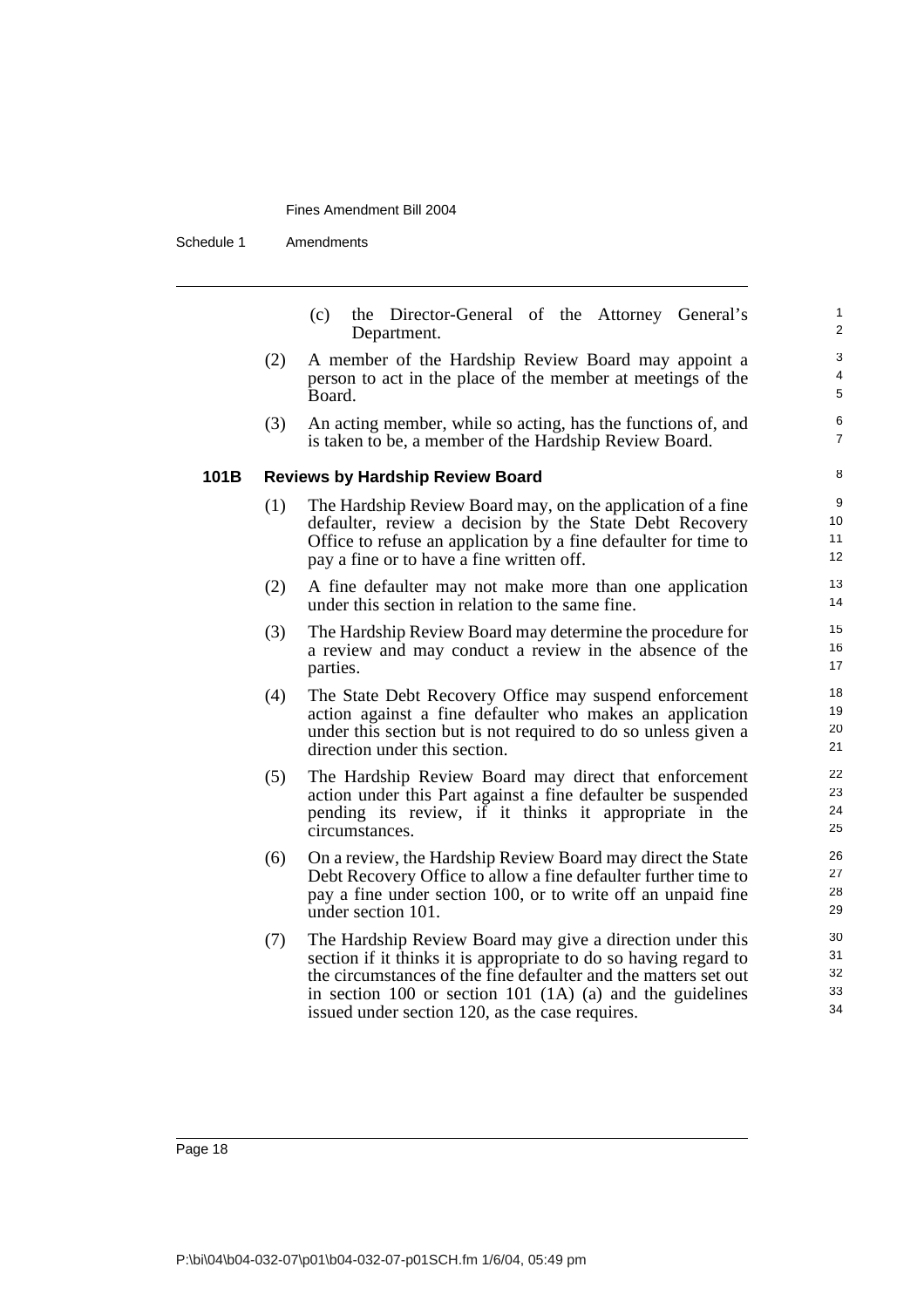Schedule 1 Amendments

|      | (c)<br>the Director-General of the Attorney General's<br>Department.                                                                                                                                                                                                                                                            | $\mathbf{1}$<br>2        |
|------|---------------------------------------------------------------------------------------------------------------------------------------------------------------------------------------------------------------------------------------------------------------------------------------------------------------------------------|--------------------------|
|      | (2)<br>A member of the Hardship Review Board may appoint a<br>person to act in the place of the member at meetings of the<br>Board.                                                                                                                                                                                             | 3<br>$\overline{4}$<br>5 |
|      | (3)<br>An acting member, while so acting, has the functions of, and<br>is taken to be, a member of the Hardship Review Board.                                                                                                                                                                                                   | 6<br>$\overline{7}$      |
| 101B | <b>Reviews by Hardship Review Board</b>                                                                                                                                                                                                                                                                                         | 8                        |
|      | (1)<br>The Hardship Review Board may, on the application of a fine<br>defaulter, review a decision by the State Debt Recovery<br>Office to refuse an application by a fine defaulter for time to<br>pay a fine or to have a fine written off.                                                                                   | 9<br>10<br>11<br>12      |
|      | (2)<br>A fine defaulter may not make more than one application<br>under this section in relation to the same fine.                                                                                                                                                                                                              | 13<br>14                 |
|      | The Hardship Review Board may determine the procedure for<br>(3)<br>a review and may conduct a review in the absence of the<br>parties.                                                                                                                                                                                         | 15<br>16<br>17           |
|      | The State Debt Recovery Office may suspend enforcement<br>(4)<br>action against a fine defaulter who makes an application<br>$20\,$<br>under this section but is not required to do so unless given a<br>direction under this section.                                                                                          | 18<br>19<br>21           |
|      | The Hardship Review Board may direct that enforcement<br>(5)<br>23<br>action under this Part against a fine defaulter be suspended<br>24<br>pending its review, if it thinks it appropriate in the<br>circumstances.                                                                                                            | 22<br>25                 |
|      | On a review, the Hardship Review Board may direct the State<br>(6)<br>27<br>Debt Recovery Office to allow a fine defaulter further time to<br>pay a fine under section 100, or to write off an unpaid fine<br>under section 101.                                                                                                | 26<br>28<br>29           |
|      | The Hardship Review Board may give a direction under this<br>(7)<br>section if it thinks it is appropriate to do so having regard to<br>the circumstances of the fine defaulter and the matters set out<br>in section 100 or section 101 $(1A)$ (a) and the guidelines<br>34<br>issued under section 120, as the case requires. | 30<br>31<br>32<br>33     |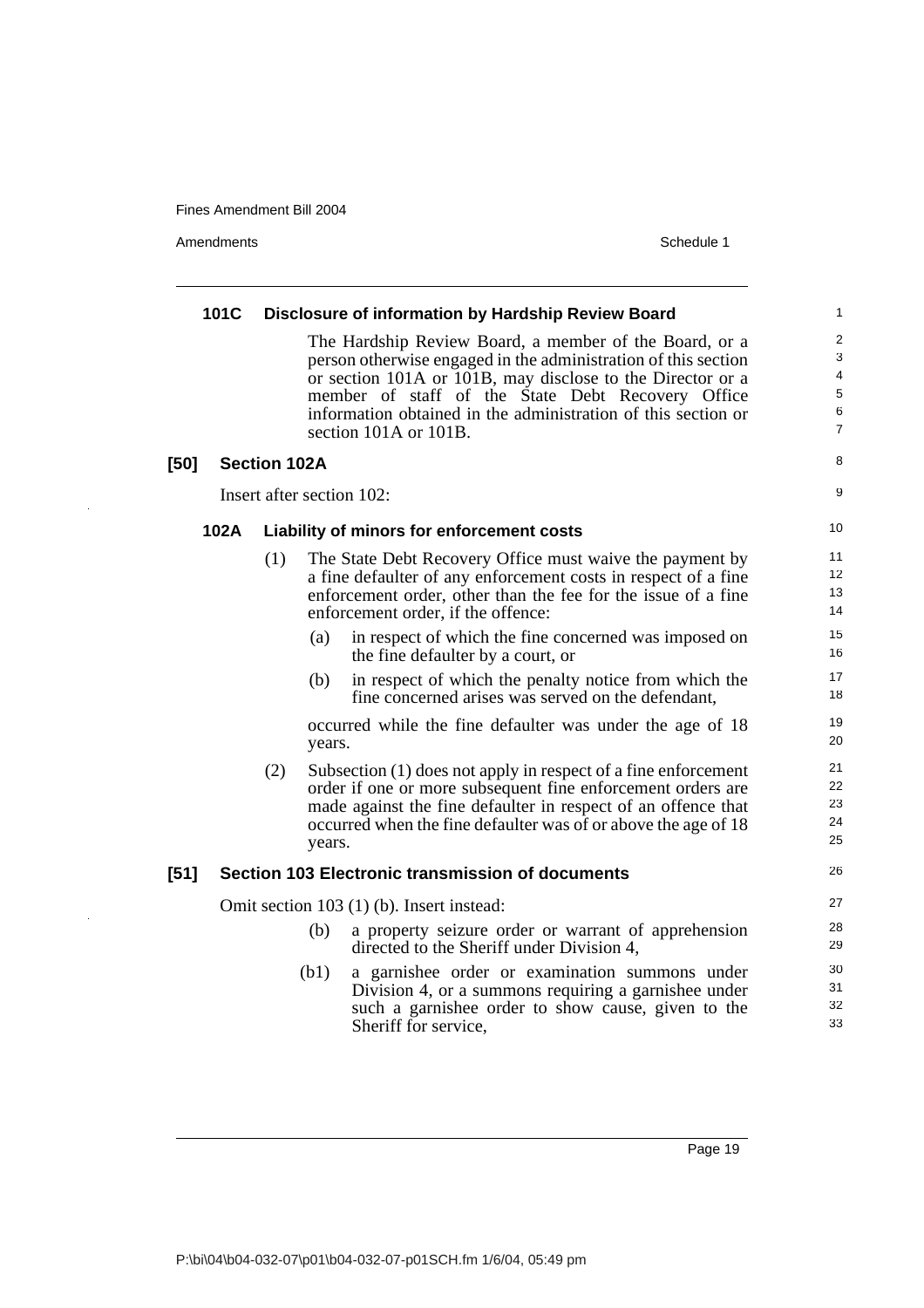Amendments Schedule 1

 $\hat{\boldsymbol{\beta}}$ 

| 101C |                     | Disclosure of information by Hardship Review Board                                                                                                                                                                                                                                                                                    | 1                                                    |
|------|---------------------|---------------------------------------------------------------------------------------------------------------------------------------------------------------------------------------------------------------------------------------------------------------------------------------------------------------------------------------|------------------------------------------------------|
|      |                     | The Hardship Review Board, a member of the Board, or a<br>person otherwise engaged in the administration of this section<br>or section 101A or 101B, may disclose to the Director or a<br>member of staff of the State Debt Recovery Office<br>information obtained in the administration of this section or<br>section 101A or 101B. | $\overline{2}$<br>3<br>4<br>5<br>6<br>$\overline{7}$ |
| [50] | <b>Section 102A</b> |                                                                                                                                                                                                                                                                                                                                       | 8                                                    |
|      |                     | Insert after section 102:                                                                                                                                                                                                                                                                                                             | 9                                                    |
| 102A |                     | Liability of minors for enforcement costs                                                                                                                                                                                                                                                                                             | 10                                                   |
|      | (1)                 | The State Debt Recovery Office must waive the payment by<br>a fine defaulter of any enforcement costs in respect of a fine<br>enforcement order, other than the fee for the issue of a fine<br>enforcement order, if the offence:                                                                                                     | 11<br>12 <sup>2</sup><br>13<br>14                    |
|      |                     | in respect of which the fine concerned was imposed on<br>(a)<br>the fine defaulter by a court, or                                                                                                                                                                                                                                     | 15<br>16                                             |
|      |                     | in respect of which the penalty notice from which the<br>(b)<br>fine concerned arises was served on the defendant,                                                                                                                                                                                                                    | 17<br>18                                             |
|      |                     | occurred while the fine defaulter was under the age of 18<br>years.                                                                                                                                                                                                                                                                   | 19<br>20                                             |
|      | (2)                 | Subsection (1) does not apply in respect of a fine enforcement<br>order if one or more subsequent fine enforcement orders are<br>made against the fine defaulter in respect of an offence that<br>occurred when the fine defaulter was of or above the age of 18<br>years.                                                            | 21<br>22<br>23<br>24<br>25                           |
| [51] |                     | Section 103 Electronic transmission of documents                                                                                                                                                                                                                                                                                      | 26                                                   |
|      |                     | Omit section 103 (1) (b). Insert instead:                                                                                                                                                                                                                                                                                             | 27                                                   |
|      |                     | a property seizure order or warrant of apprehension<br>(b)<br>directed to the Sheriff under Division 4,                                                                                                                                                                                                                               | 28<br>29                                             |
|      |                     | (b1)<br>a garnishee order or examination summons under<br>Division 4, or a summons requiring a garnishee under<br>such a garnishee order to show cause, given to the<br>Sheriff for service,                                                                                                                                          | 30<br>31<br>32<br>33                                 |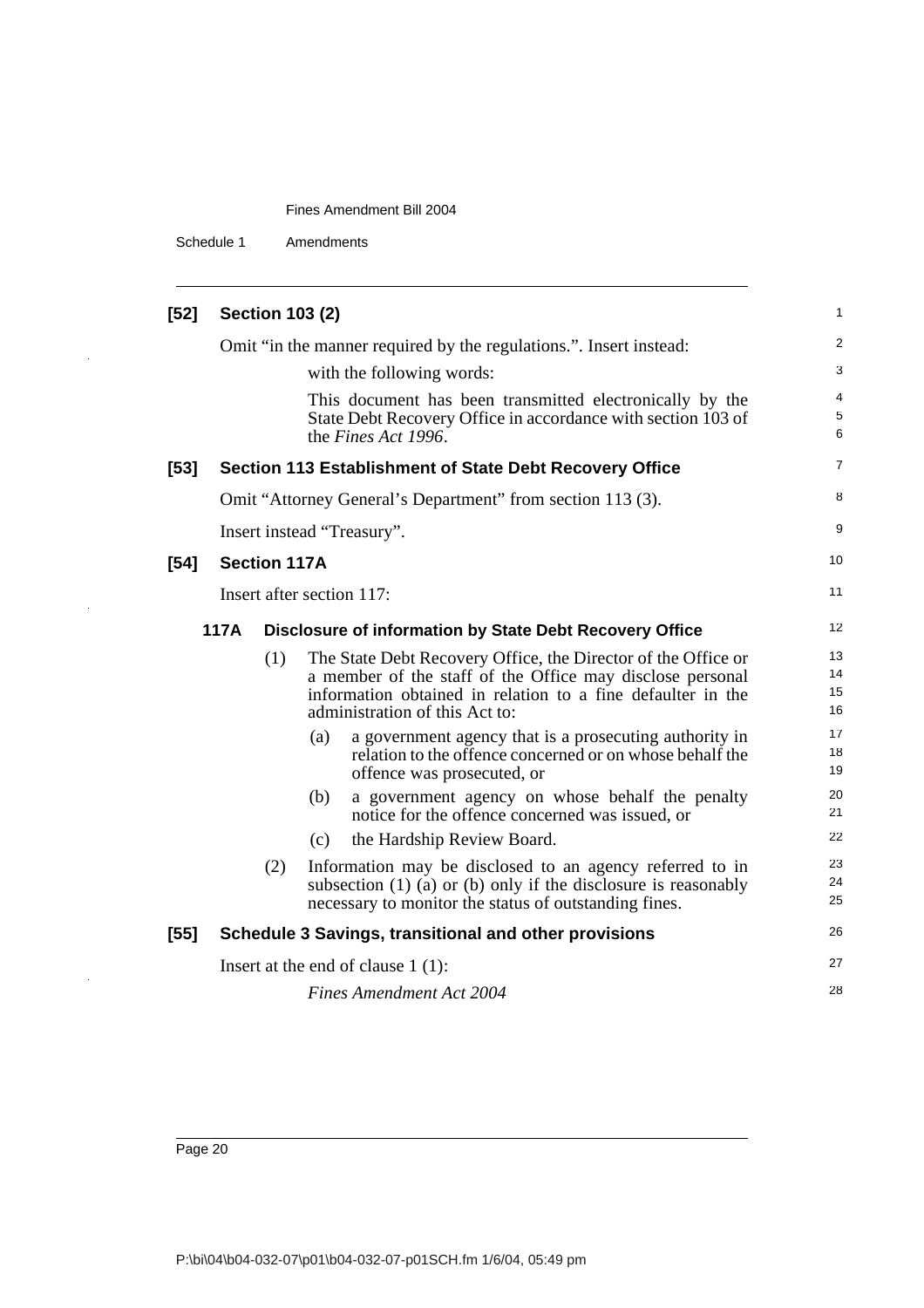Schedule 1 Amendments

| $[52]$ |      |                     | <b>Section 103 (2)</b>                                                                                                                                                                                                      | 1                    |
|--------|------|---------------------|-----------------------------------------------------------------------------------------------------------------------------------------------------------------------------------------------------------------------------|----------------------|
|        |      |                     | Omit "in the manner required by the regulations.". Insert instead:                                                                                                                                                          | 2                    |
|        |      |                     | with the following words:                                                                                                                                                                                                   | 3                    |
|        |      |                     | This document has been transmitted electronically by the<br>State Debt Recovery Office in accordance with section 103 of<br>the Fines Act 1996.                                                                             | 4<br>5<br>6          |
| $[53]$ |      |                     | Section 113 Establishment of State Debt Recovery Office                                                                                                                                                                     | 7                    |
|        |      |                     | Omit "Attorney General's Department" from section 113 (3).                                                                                                                                                                  | 8                    |
|        |      |                     | Insert instead "Treasury".                                                                                                                                                                                                  | 9                    |
| [54]   |      | <b>Section 117A</b> |                                                                                                                                                                                                                             | 10                   |
|        |      |                     | Insert after section 117:                                                                                                                                                                                                   | 11                   |
|        | 117A |                     | Disclosure of information by State Debt Recovery Office                                                                                                                                                                     | 12                   |
|        |      | (1)                 | The State Debt Recovery Office, the Director of the Office or<br>a member of the staff of the Office may disclose personal<br>information obtained in relation to a fine defaulter in the<br>administration of this Act to: | 13<br>14<br>15<br>16 |
|        |      |                     | a government agency that is a prosecuting authority in<br>(a)<br>relation to the offence concerned or on whose behalf the<br>offence was prosecuted, or                                                                     | 17<br>18<br>19       |
|        |      |                     | (b)<br>a government agency on whose behalf the penalty<br>notice for the offence concerned was issued, or                                                                                                                   | 20<br>21             |
|        |      |                     | the Hardship Review Board.<br>(c)                                                                                                                                                                                           | 22                   |
|        |      | (2)                 | Information may be disclosed to an agency referred to in<br>subsection $(1)$ $(a)$ or $(b)$ only if the disclosure is reasonably<br>necessary to monitor the status of outstanding fines.                                   | 23<br>24<br>25       |
| $[55]$ |      |                     | Schedule 3 Savings, transitional and other provisions                                                                                                                                                                       | 26                   |
|        |      |                     | Insert at the end of clause $1(1)$ :                                                                                                                                                                                        | 27                   |
|        |      |                     | <b>Fines Amendment Act 2004</b>                                                                                                                                                                                             | 28                   |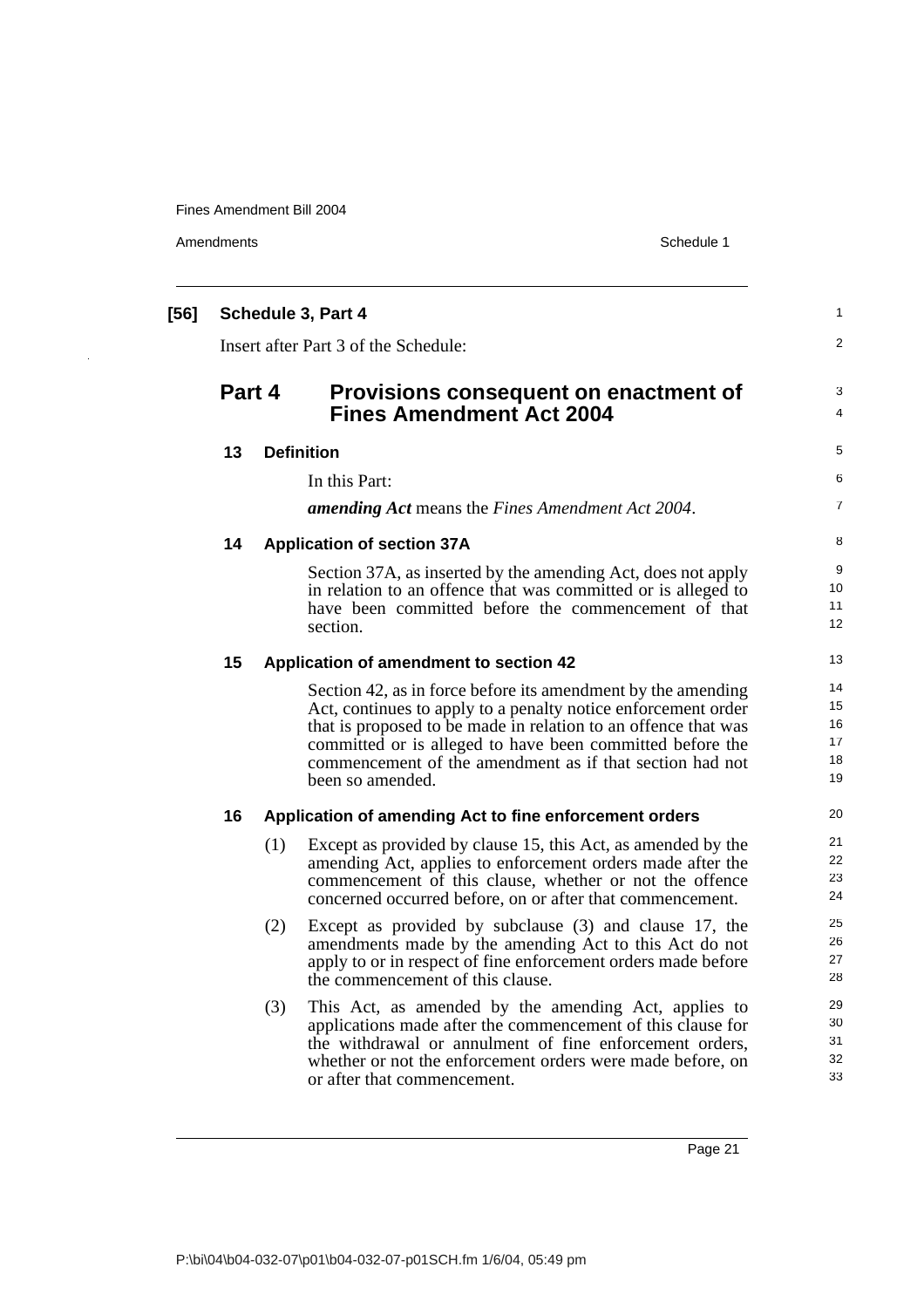Amendments Schedule 1

| [56] | Schedule 3, Part 4                   |     |                                                                                                                                                                                                                                                                                                                                              |                                  |  |  |
|------|--------------------------------------|-----|----------------------------------------------------------------------------------------------------------------------------------------------------------------------------------------------------------------------------------------------------------------------------------------------------------------------------------------------|----------------------------------|--|--|
|      | Insert after Part 3 of the Schedule: |     |                                                                                                                                                                                                                                                                                                                                              |                                  |  |  |
|      | Part 4                               |     | Provisions consequent on enactment of<br><b>Fines Amendment Act 2004</b>                                                                                                                                                                                                                                                                     | 3<br>4                           |  |  |
|      | 13                                   |     | <b>Definition</b>                                                                                                                                                                                                                                                                                                                            |                                  |  |  |
|      |                                      |     | In this Part:                                                                                                                                                                                                                                                                                                                                | 6                                |  |  |
|      |                                      |     | <b>amending Act</b> means the Fines Amendment Act 2004.                                                                                                                                                                                                                                                                                      | 7                                |  |  |
|      | 14                                   |     | <b>Application of section 37A</b>                                                                                                                                                                                                                                                                                                            | 8                                |  |  |
|      |                                      |     | Section 37A, as inserted by the amending Act, does not apply<br>in relation to an offence that was committed or is alleged to<br>have been committed before the commencement of that<br>section.                                                                                                                                             | 9<br>10<br>11<br>12              |  |  |
|      | 15                                   |     | Application of amendment to section 42                                                                                                                                                                                                                                                                                                       | 13                               |  |  |
|      |                                      |     | Section 42, as in force before its amendment by the amending<br>Act, continues to apply to a penalty notice enforcement order<br>that is proposed to be made in relation to an offence that was<br>committed or is alleged to have been committed before the<br>commencement of the amendment as if that section had not<br>been so amended. | 14<br>15<br>16<br>17<br>18<br>19 |  |  |
|      | 16                                   |     | Application of amending Act to fine enforcement orders                                                                                                                                                                                                                                                                                       | 20                               |  |  |
|      |                                      | (1) | Except as provided by clause 15, this Act, as amended by the<br>amending Act, applies to enforcement orders made after the<br>commencement of this clause, whether or not the offence<br>concerned occurred before, on or after that commencement.                                                                                           | 21<br>22<br>23<br>24             |  |  |
|      |                                      | (2) | Except as provided by subclause (3) and clause 17, the<br>amendments made by the amending Act to this Act do not<br>apply to or in respect of fine enforcement orders made before<br>the commencement of this clause.                                                                                                                        | 25<br>26<br>27<br>28             |  |  |
|      |                                      | (3) | This Act, as amended by the amending Act, applies to<br>applications made after the commencement of this clause for<br>the withdrawal or annulment of fine enforcement orders,<br>whether or not the enforcement orders were made before, on<br>or after that commencement.                                                                  | 29<br>30<br>31<br>32<br>33       |  |  |